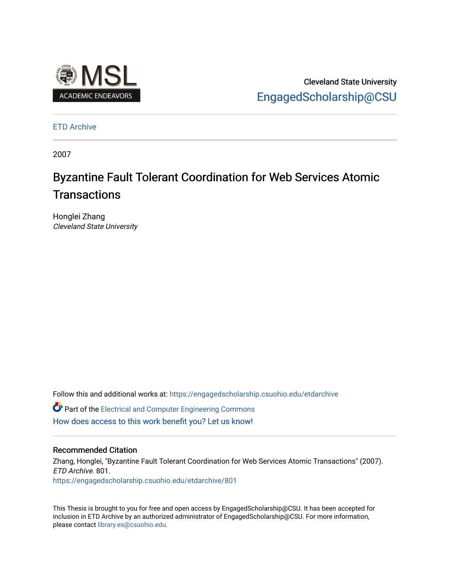

Cleveland State University [EngagedScholarship@CSU](https://engagedscholarship.csuohio.edu/) 

[ETD Archive](https://engagedscholarship.csuohio.edu/etdarchive)

2007

# Byzantine Fault Tolerant Coordination for Web Services Atomic **Transactions**

Honglei Zhang Cleveland State University

Follow this and additional works at: [https://engagedscholarship.csuohio.edu/etdarchive](https://engagedscholarship.csuohio.edu/etdarchive?utm_source=engagedscholarship.csuohio.edu%2Fetdarchive%2F801&utm_medium=PDF&utm_campaign=PDFCoverPages)

**C** Part of the Electrical and Computer Engineering Commons [How does access to this work benefit you? Let us know!](http://library.csuohio.edu/engaged/)

#### Recommended Citation

Zhang, Honglei, "Byzantine Fault Tolerant Coordination for Web Services Atomic Transactions" (2007). ETD Archive. 801. [https://engagedscholarship.csuohio.edu/etdarchive/801](https://engagedscholarship.csuohio.edu/etdarchive/801?utm_source=engagedscholarship.csuohio.edu%2Fetdarchive%2F801&utm_medium=PDF&utm_campaign=PDFCoverPages) 

This Thesis is brought to you for free and open access by EngagedScholarship@CSU. It has been accepted for inclusion in ETD Archive by an authorized administrator of EngagedScholarship@CSU. For more information, please contact [library.es@csuohio.edu.](mailto:library.es@csuohio.edu)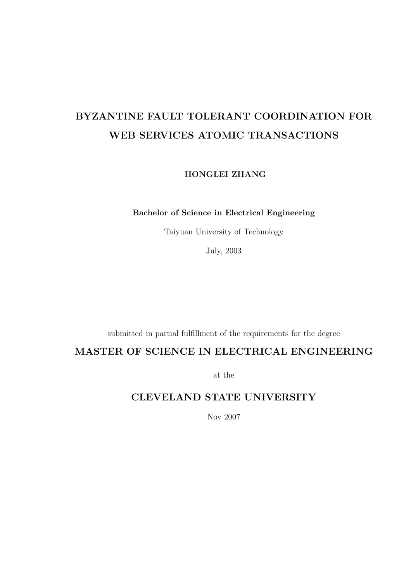# BYZANTINE FAULT TOLERANT COORDINATION FOR WEB SERVICES ATOMIC TRANSACTIONS

HONGLEI ZHANG

Bachelor of Science in Electrical Engineering

Taiyuan University of Technology

July, 2003

submitted in partial fulfillment of the requirements for the degree

### MASTER OF SCIENCE IN ELECTRICAL ENGINEERING

at the

### CLEVELAND STATE UNIVERSITY

Nov 2007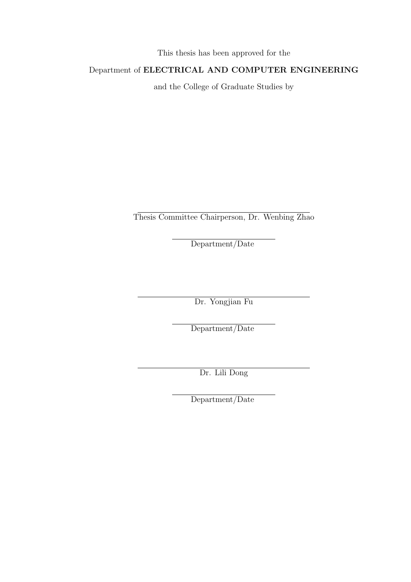This thesis has been approved for the

### Department of ELECTRICAL AND COMPUTER ENGINEERING

and the College of Graduate Studies by

Thesis Committee Chairperson, Dr. Wenbing Zhao

Department/Date

Dr. Yongjian Fu

Department/Date

Dr. Lili Dong

Department/Date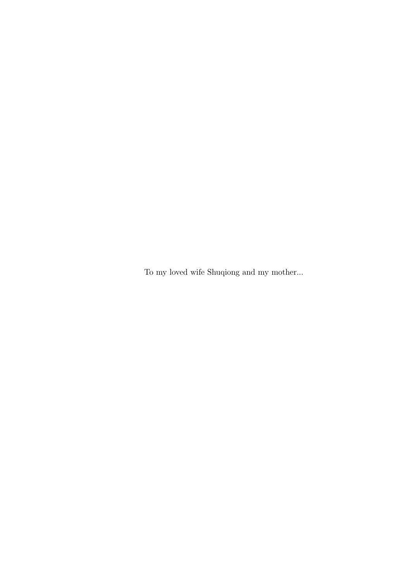To my loved wife Shuqiong and my mother...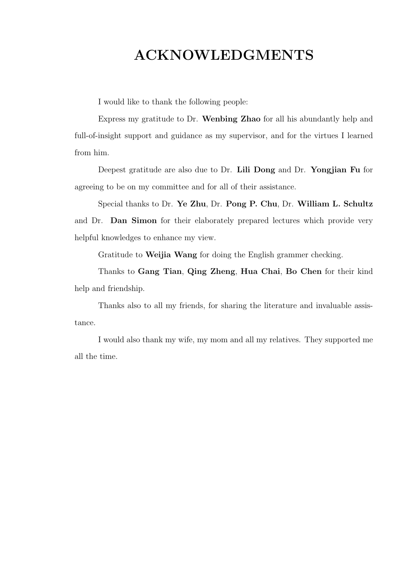# ACKNOWLEDGMENTS

I would like to thank the following people:

Express my gratitude to Dr. Wenbing Zhao for all his abundantly help and full-of-insight support and guidance as my supervisor, and for the virtues I learned from him.

Deepest gratitude are also due to Dr. Lili Dong and Dr. Yongjian Fu for agreeing to be on my committee and for all of their assistance.

Special thanks to Dr. Ye Zhu, Dr. Pong P. Chu, Dr. William L. Schultz and Dr. Dan Simon for their elaborately prepared lectures which provide very helpful knowledges to enhance my view.

Gratitude to Weijia Wang for doing the English grammer checking.

Thanks to Gang Tian, Qing Zheng, Hua Chai, Bo Chen for their kind help and friendship.

Thanks also to all my friends, for sharing the literature and invaluable assistance.

I would also thank my wife, my mom and all my relatives. They supported me all the time.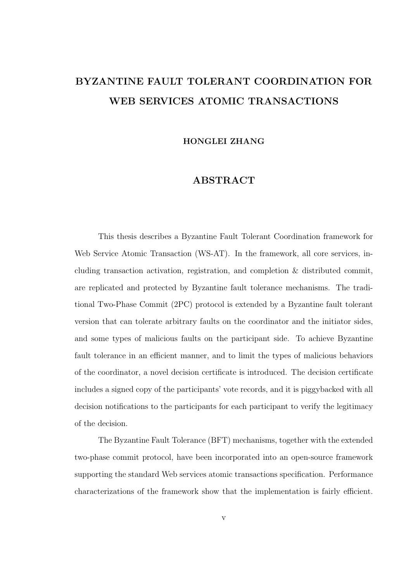# BYZANTINE FAULT TOLERANT COORDINATION FOR WEB SERVICES ATOMIC TRANSACTIONS

HONGLEI ZHANG

#### ABSTRACT

This thesis describes a Byzantine Fault Tolerant Coordination framework for Web Service Atomic Transaction (WS-AT). In the framework, all core services, including transaction activation, registration, and completion & distributed commit, are replicated and protected by Byzantine fault tolerance mechanisms. The traditional Two-Phase Commit (2PC) protocol is extended by a Byzantine fault tolerant version that can tolerate arbitrary faults on the coordinator and the initiator sides, and some types of malicious faults on the participant side. To achieve Byzantine fault tolerance in an efficient manner, and to limit the types of malicious behaviors of the coordinator, a novel decision certificate is introduced. The decision certificate includes a signed copy of the participants' vote records, and it is piggybacked with all decision notifications to the participants for each participant to verify the legitimacy of the decision.

The Byzantine Fault Tolerance (BFT) mechanisms, together with the extended two-phase commit protocol, have been incorporated into an open-source framework supporting the standard Web services atomic transactions specification. Performance characterizations of the framework show that the implementation is fairly efficient.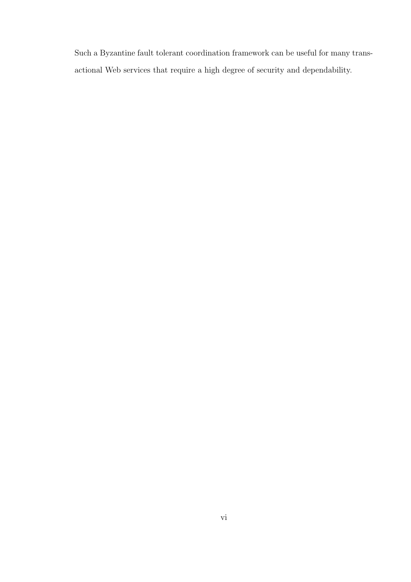Such a Byzantine fault tolerant coordination framework can be useful for many transactional Web services that require a high degree of security and dependability.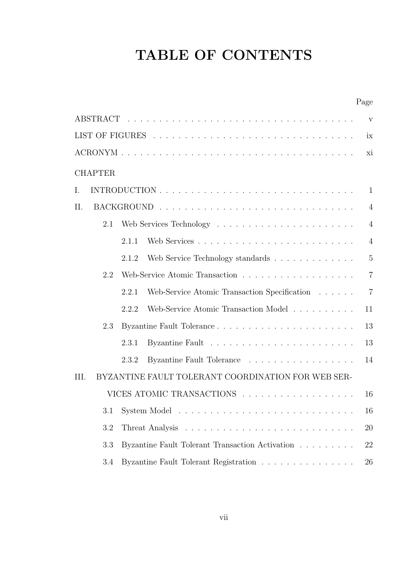# TABLE OF CONTENTS

| V                                                                       |  |  |  |  |  |
|-------------------------------------------------------------------------|--|--|--|--|--|
| ix                                                                      |  |  |  |  |  |
| xi                                                                      |  |  |  |  |  |
| <b>CHAPTER</b>                                                          |  |  |  |  |  |
| $\mathbf{1}$<br>Ι.                                                      |  |  |  |  |  |
| II.<br>$\overline{4}$                                                   |  |  |  |  |  |
| $\overline{4}$<br>2.1                                                   |  |  |  |  |  |
| 2.1.1<br>$\overline{4}$                                                 |  |  |  |  |  |
| $\overline{5}$<br>Web Service Technology standards<br>2.1.2             |  |  |  |  |  |
| 2.2<br>$\overline{7}$                                                   |  |  |  |  |  |
| $\overline{7}$<br>Web-Service Atomic Transaction Specification<br>2.2.1 |  |  |  |  |  |
| Web-Service Atomic Transaction Model<br>2.2.2<br>11                     |  |  |  |  |  |
| 13<br>2.3                                                               |  |  |  |  |  |
| 2.3.1<br>13                                                             |  |  |  |  |  |
| Byzantine Fault Tolerance<br>2.3.2<br>14                                |  |  |  |  |  |
| BYZANTINE FAULT TOLERANT COORDINATION FOR WEB SER-<br>III.              |  |  |  |  |  |
| VICES ATOMIC TRANSACTIONS<br>16                                         |  |  |  |  |  |
| 3.1<br>16                                                               |  |  |  |  |  |
| 3.2<br>20                                                               |  |  |  |  |  |
| 3.3<br>Byzantine Fault Tolerant Transaction Activation<br>22            |  |  |  |  |  |
| Byzantine Fault Tolerant Registration<br>3.4<br>26                      |  |  |  |  |  |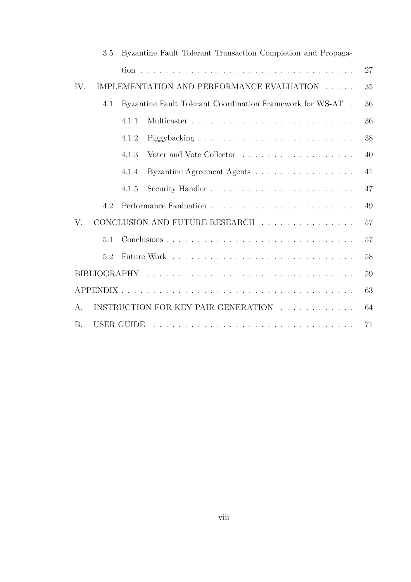| 3.5         | Byzantine Fault Tolerant Transaction Completion and Propaga-                                                                                                                                                                                                                                                                                                                                                                                                                                               |    |
|-------------|------------------------------------------------------------------------------------------------------------------------------------------------------------------------------------------------------------------------------------------------------------------------------------------------------------------------------------------------------------------------------------------------------------------------------------------------------------------------------------------------------------|----|
|             |                                                                                                                                                                                                                                                                                                                                                                                                                                                                                                            | 27 |
| IV.         | IMPLEMENTATION AND PERFORMANCE EVALUATION                                                                                                                                                                                                                                                                                                                                                                                                                                                                  | 35 |
| 4.1         | Byzantine Fault Tolerant Coordination Framework for WS-AT.                                                                                                                                                                                                                                                                                                                                                                                                                                                 | 36 |
|             | 4.1.1                                                                                                                                                                                                                                                                                                                                                                                                                                                                                                      | 36 |
|             | 4.1.2                                                                                                                                                                                                                                                                                                                                                                                                                                                                                                      | 38 |
|             | 4.1.3                                                                                                                                                                                                                                                                                                                                                                                                                                                                                                      | 40 |
|             | Byzantine Agreement Agents<br>4.1.4                                                                                                                                                                                                                                                                                                                                                                                                                                                                        | 41 |
|             | 4.1.5                                                                                                                                                                                                                                                                                                                                                                                                                                                                                                      | 47 |
| 4.2         |                                                                                                                                                                                                                                                                                                                                                                                                                                                                                                            | 49 |
| $V_{\cdot}$ | CONCLUSION AND FUTURE RESEARCH                                                                                                                                                                                                                                                                                                                                                                                                                                                                             | 57 |
| 5.1         |                                                                                                                                                                                                                                                                                                                                                                                                                                                                                                            | 57 |
| 5.2         |                                                                                                                                                                                                                                                                                                                                                                                                                                                                                                            | 58 |
|             |                                                                                                                                                                                                                                                                                                                                                                                                                                                                                                            | 59 |
|             |                                                                                                                                                                                                                                                                                                                                                                                                                                                                                                            | 63 |
| $A_{\cdot}$ | INSTRUCTION FOR KEY PAIR GENERATION                                                                                                                                                                                                                                                                                                                                                                                                                                                                        | 64 |
| <b>B.</b>   | USER GUIDE<br>$\mathcal{L}_{\mathcal{A}}(\mathcal{A}) = \mathcal{L}_{\mathcal{A}}(\mathcal{A}) = \mathcal{L}_{\mathcal{A}}(\mathcal{A}) = \mathcal{L}_{\mathcal{A}}(\mathcal{A}) = \mathcal{L}_{\mathcal{A}}(\mathcal{A}) = \mathcal{L}_{\mathcal{A}}(\mathcal{A}) = \mathcal{L}_{\mathcal{A}}(\mathcal{A}) = \mathcal{L}_{\mathcal{A}}(\mathcal{A}) = \mathcal{L}_{\mathcal{A}}(\mathcal{A}) = \mathcal{L}_{\mathcal{A}}(\mathcal{A}) = \mathcal{L}_{\mathcal{A}}(\mathcal{A}) = \mathcal{L}_{\mathcal{A$ | 71 |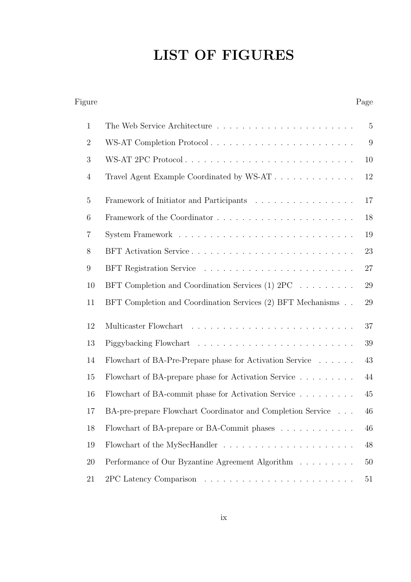# LIST OF FIGURES

| Figure          |                                                                  | Page           |
|-----------------|------------------------------------------------------------------|----------------|
| $\mathbf{1}$    |                                                                  | $\overline{5}$ |
| $\overline{2}$  | WS-AT Completion Protocol                                        | 9              |
| 3               | WS-AT 2PC Protocol                                               | 10             |
| $\overline{4}$  | Travel Agent Example Coordinated by WS-AT                        | 12             |
| $\overline{5}$  | Framework of Initiator and Participants                          | 17             |
| 6               |                                                                  | 18             |
| $\overline{7}$  |                                                                  | 19             |
| 8               |                                                                  | 23             |
| $9\phantom{.0}$ |                                                                  | 27             |
| 10              | BFT Completion and Coordination Services (1) $2PC \ldots \ldots$ | 29             |
| 11              | BFT Completion and Coordination Services (2) BFT Mechanisms      | 29             |
| 12              |                                                                  | 37             |
| 13              |                                                                  | 39             |
| 14              | Flowchart of BA-Pre-Prepare phase for Activation Service         | 43             |
| 15              | Flowchart of BA-prepare phase for Activation Service             | 44             |
| 16              | Flowchart of BA-commit phase for Activation Service              | 45             |
| 17              | BA-pre-prepare Flowchart Coordinator and Completion Service      | 46             |
| 18              | Flowchart of BA-prepare or BA-Commit phases                      | 46             |
| 19              |                                                                  | 48             |
| $20\,$          | Performance of Our Byzantine Agreement Algorithm                 | 50             |
| 21              |                                                                  | 51             |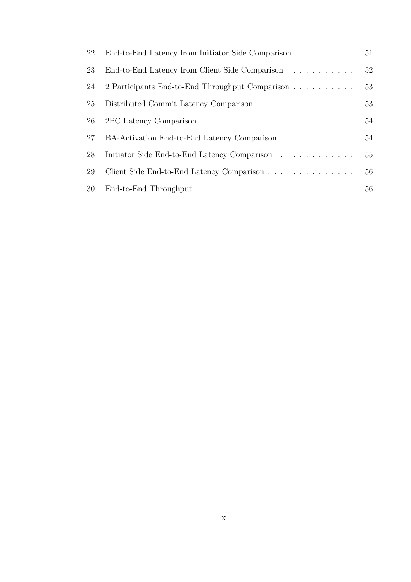| 22 | End-to-End Latency from Initiator Side Comparison | 51 |
|----|---------------------------------------------------|----|
| 23 | End-to-End Latency from Client Side Comparison    | 52 |
| 24 | 2 Participants End-to-End Throughput Comparison   | 53 |
| 25 | Distributed Commit Latency Comparison             | 53 |
| 26 |                                                   | 54 |
| 27 | BA-Activation End-to-End Latency Comparison       | 54 |
| 28 | Initiator Side End-to-End Latency Comparison      | 55 |
| 29 | Client Side End-to-End Latency Comparison         | 56 |
| 30 |                                                   |    |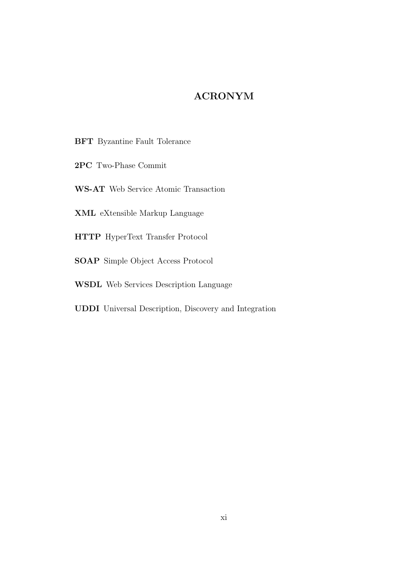### ACRONYM

- BFT Byzantine Fault Tolerance
- 2PC Two-Phase Commit
- WS-AT Web Service Atomic Transaction
- XML eXtensible Markup Language
- HTTP HyperText Transfer Protocol
- SOAP Simple Object Access Protocol
- WSDL Web Services Description Language
- UDDI Universal Description, Discovery and Integration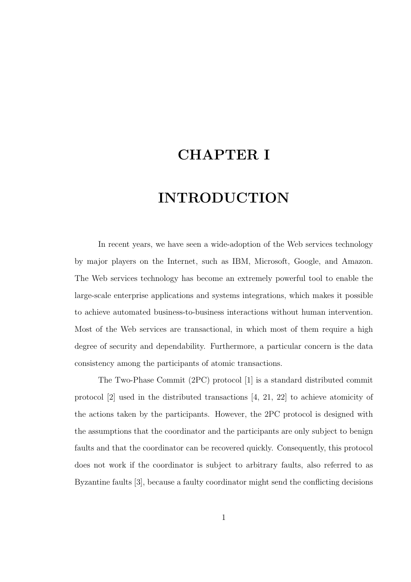# CHAPTER I

# INTRODUCTION

In recent years, we have seen a wide-adoption of the Web services technology by major players on the Internet, such as IBM, Microsoft, Google, and Amazon. The Web services technology has become an extremely powerful tool to enable the large-scale enterprise applications and systems integrations, which makes it possible to achieve automated business-to-business interactions without human intervention. Most of the Web services are transactional, in which most of them require a high degree of security and dependability. Furthermore, a particular concern is the data consistency among the participants of atomic transactions.

The Two-Phase Commit (2PC) protocol [1] is a standard distributed commit protocol [2] used in the distributed transactions [4, 21, 22] to achieve atomicity of the actions taken by the participants. However, the 2PC protocol is designed with the assumptions that the coordinator and the participants are only subject to benign faults and that the coordinator can be recovered quickly. Consequently, this protocol does not work if the coordinator is subject to arbitrary faults, also referred to as Byzantine faults [3], because a faulty coordinator might send the conflicting decisions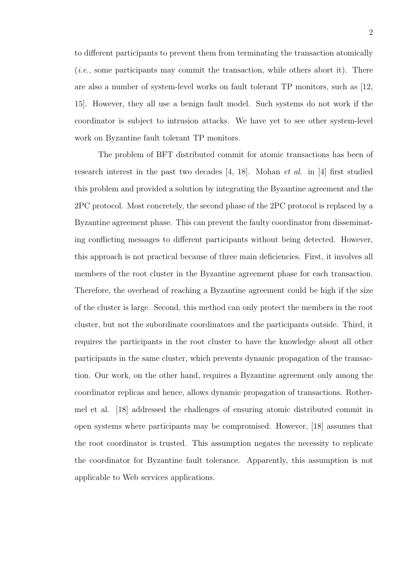to different participants to prevent them from terminating the transaction atomically (i.e., some participants may commit the transaction, while others abort it). There are also a number of system-level works on fault tolerant TP monitors, such as [12, 15]. However, they all use a benign fault model. Such systems do not work if the coordinator is subject to intrusion attacks. We have yet to see other system-level work on Byzantine fault tolerant TP monitors.

The problem of BFT distributed commit for atomic transactions has been of research interest in the past two decades  $[4, 18]$ . Mohan *et al.* in [4] first studied this problem and provided a solution by integrating the Byzantine agreement and the 2PC protocol. Most concretely, the second phase of the 2PC protocol is replaced by a Byzantine agreement phase. This can prevent the faulty coordinator from disseminating conflicting messages to different participants without being detected. However, this approach is not practical because of three main deficiencies. First, it involves all members of the root cluster in the Byzantine agreement phase for each transaction. Therefore, the overhead of reaching a Byzantine agreement could be high if the size of the cluster is large. Second, this method can only protect the members in the root cluster, but not the subordinate coordinators and the participants outside. Third, it requires the participants in the root cluster to have the knowledge about all other participants in the same cluster, which prevents dynamic propagation of the transaction. Our work, on the other hand, requires a Byzantine agreement only among the coordinator replicas and hence, allows dynamic propagation of transactions. Rothermel et al. [18] addressed the challenges of ensuring atomic distributed commit in open systems where participants may be compromised. However, [18] assumes that the root coordinator is trusted. This assumption negates the necessity to replicate the coordinator for Byzantine fault tolerance. Apparently, this assumption is not applicable to Web services applications.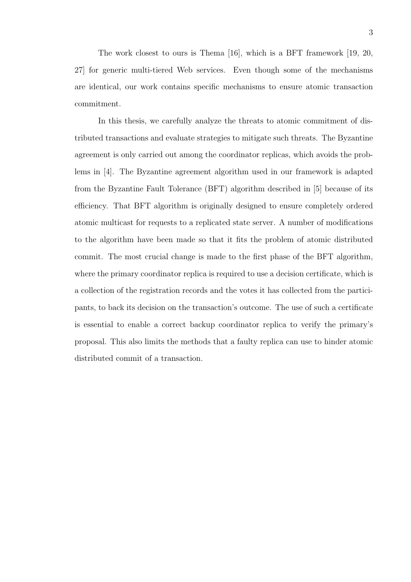The work closest to ours is Thema [16], which is a BFT framework [19, 20, 27] for generic multi-tiered Web services. Even though some of the mechanisms are identical, our work contains specific mechanisms to ensure atomic transaction commitment.

In this thesis, we carefully analyze the threats to atomic commitment of distributed transactions and evaluate strategies to mitigate such threats. The Byzantine agreement is only carried out among the coordinator replicas, which avoids the problems in [4]. The Byzantine agreement algorithm used in our framework is adapted from the Byzantine Fault Tolerance (BFT) algorithm described in [5] because of its efficiency. That BFT algorithm is originally designed to ensure completely ordered atomic multicast for requests to a replicated state server. A number of modifications to the algorithm have been made so that it fits the problem of atomic distributed commit. The most crucial change is made to the first phase of the BFT algorithm, where the primary coordinator replica is required to use a decision certificate, which is a collection of the registration records and the votes it has collected from the participants, to back its decision on the transaction's outcome. The use of such a certificate is essential to enable a correct backup coordinator replica to verify the primary's proposal. This also limits the methods that a faulty replica can use to hinder atomic distributed commit of a transaction.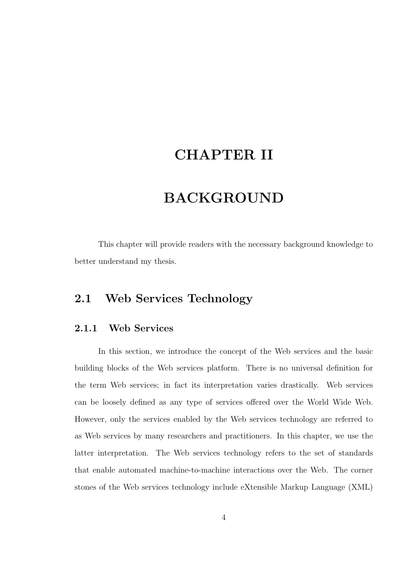### CHAPTER II

# BACKGROUND

This chapter will provide readers with the necessary background knowledge to better understand my thesis.

### 2.1 Web Services Technology

#### 2.1.1 Web Services

In this section, we introduce the concept of the Web services and the basic building blocks of the Web services platform. There is no universal definition for the term Web services; in fact its interpretation varies drastically. Web services can be loosely defined as any type of services offered over the World Wide Web. However, only the services enabled by the Web services technology are referred to as Web services by many researchers and practitioners. In this chapter, we use the latter interpretation. The Web services technology refers to the set of standards that enable automated machine-to-machine interactions over the Web. The corner stones of the Web services technology include eXtensible Markup Language (XML)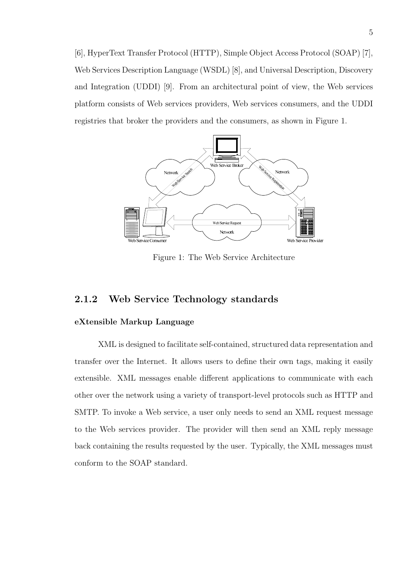[6], HyperText Transfer Protocol (HTTP), Simple Object Access Protocol (SOAP) [7], Web Services Description Language (WSDL) [8], and Universal Description, Discovery and Integration (UDDI) [9]. From an architectural point of view, the Web services platform consists of Web services providers, Web services consumers, and the UDDI registries that broker the providers and the consumers, as shown in Figure 1.



Figure 1: The Web Service Architecture

### 2.1.2 Web Service Technology standards

#### eXtensible Markup Language

XML is designed to facilitate self-contained, structured data representation and transfer over the Internet. It allows users to define their own tags, making it easily extensible. XML messages enable different applications to communicate with each other over the network using a variety of transport-level protocols such as HTTP and SMTP. To invoke a Web service, a user only needs to send an XML request message to the Web services provider. The provider will then send an XML reply message back containing the results requested by the user. Typically, the XML messages must conform to the SOAP standard.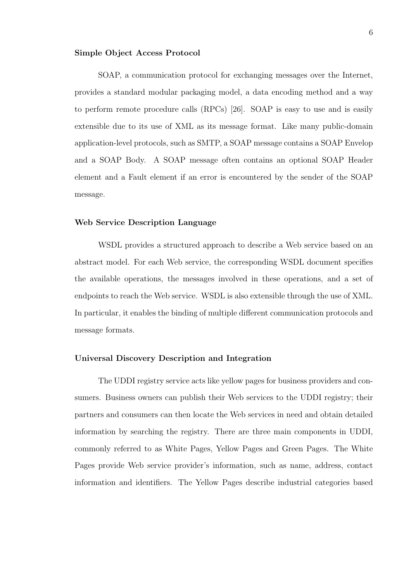#### Simple Object Access Protocol

SOAP, a communication protocol for exchanging messages over the Internet, provides a standard modular packaging model, a data encoding method and a way to perform remote procedure calls (RPCs) [26]. SOAP is easy to use and is easily extensible due to its use of XML as its message format. Like many public-domain application-level protocols, such as SMTP, a SOAP message contains a SOAP Envelop and a SOAP Body. A SOAP message often contains an optional SOAP Header element and a Fault element if an error is encountered by the sender of the SOAP message.

#### Web Service Description Language

WSDL provides a structured approach to describe a Web service based on an abstract model. For each Web service, the corresponding WSDL document specifies the available operations, the messages involved in these operations, and a set of endpoints to reach the Web service. WSDL is also extensible through the use of XML. In particular, it enables the binding of multiple different communication protocols and message formats.

#### Universal Discovery Description and Integration

The UDDI registry service acts like yellow pages for business providers and consumers. Business owners can publish their Web services to the UDDI registry; their partners and consumers can then locate the Web services in need and obtain detailed information by searching the registry. There are three main components in UDDI, commonly referred to as White Pages, Yellow Pages and Green Pages. The White Pages provide Web service provider's information, such as name, address, contact information and identifiers. The Yellow Pages describe industrial categories based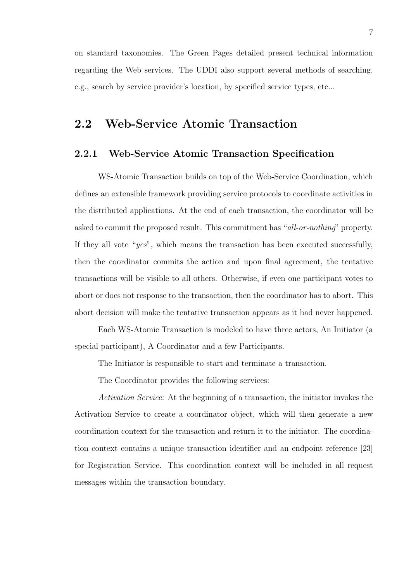on standard taxonomies. The Green Pages detailed present technical information regarding the Web services. The UDDI also support several methods of searching, e.g., search by service provider's location, by specified service types, etc...

### 2.2 Web-Service Atomic Transaction

#### 2.2.1 Web-Service Atomic Transaction Specification

WS-Atomic Transaction builds on top of the Web-Service Coordination, which defines an extensible framework providing service protocols to coordinate activities in the distributed applications. At the end of each transaction, the coordinator will be asked to commit the proposed result. This commitment has "all-or-nothing" property. If they all vote "yes", which means the transaction has been executed successfully, then the coordinator commits the action and upon final agreement, the tentative transactions will be visible to all others. Otherwise, if even one participant votes to abort or does not response to the transaction, then the coordinator has to abort. This abort decision will make the tentative transaction appears as it had never happened.

Each WS-Atomic Transaction is modeled to have three actors, An Initiator (a special participant), A Coordinator and a few Participants.

The Initiator is responsible to start and terminate a transaction.

The Coordinator provides the following services:

Activation Service: At the beginning of a transaction, the initiator invokes the Activation Service to create a coordinator object, which will then generate a new coordination context for the transaction and return it to the initiator. The coordination context contains a unique transaction identifier and an endpoint reference [23] for Registration Service. This coordination context will be included in all request messages within the transaction boundary.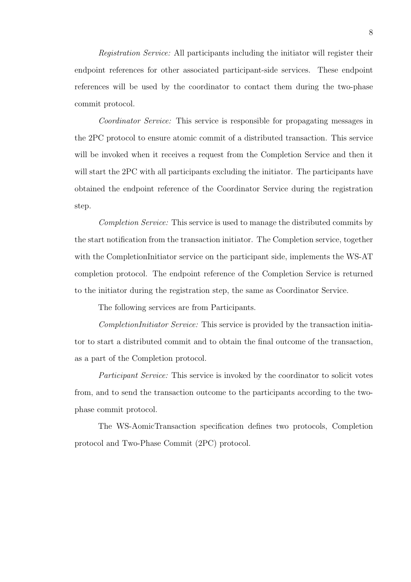Registration Service: All participants including the initiator will register their endpoint references for other associated participant-side services. These endpoint references will be used by the coordinator to contact them during the two-phase commit protocol.

Coordinator Service: This service is responsible for propagating messages in the 2PC protocol to ensure atomic commit of a distributed transaction. This service will be invoked when it receives a request from the Completion Service and then it will start the 2PC with all participants excluding the initiator. The participants have obtained the endpoint reference of the Coordinator Service during the registration step.

Completion Service: This service is used to manage the distributed commits by the start notification from the transaction initiator. The Completion service, together with the CompletionInitiator service on the participant side, implements the WS-AT completion protocol. The endpoint reference of the Completion Service is returned to the initiator during the registration step, the same as Coordinator Service.

The following services are from Participants.

CompletionInitiator Service: This service is provided by the transaction initiator to start a distributed commit and to obtain the final outcome of the transaction, as a part of the Completion protocol.

Participant Service: This service is invoked by the coordinator to solicit votes from, and to send the transaction outcome to the participants according to the twophase commit protocol.

The WS-AomicTransaction specification defines two protocols, Completion protocol and Two-Phase Commit (2PC) protocol.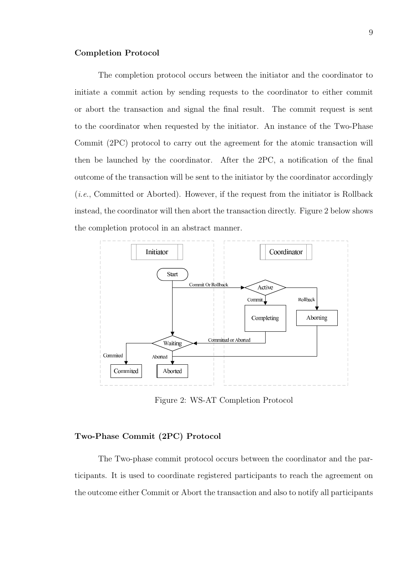#### Completion Protocol

The completion protocol occurs between the initiator and the coordinator to initiate a commit action by sending requests to the coordinator to either commit or abort the transaction and signal the final result. The commit request is sent to the coordinator when requested by the initiator. An instance of the Two-Phase Commit (2PC) protocol to carry out the agreement for the atomic transaction will then be launched by the coordinator. After the 2PC, a notification of the final outcome of the transaction will be sent to the initiator by the coordinator accordingly (i.e., Committed or Aborted). However, if the request from the initiator is Rollback instead, the coordinator will then abort the transaction directly. Figure 2 below shows the completion protocol in an abstract manner.



Figure 2: WS-AT Completion Protocol

#### Two-Phase Commit (2PC) Protocol

The Two-phase commit protocol occurs between the coordinator and the participants. It is used to coordinate registered participants to reach the agreement on the outcome either Commit or Abort the transaction and also to notify all participants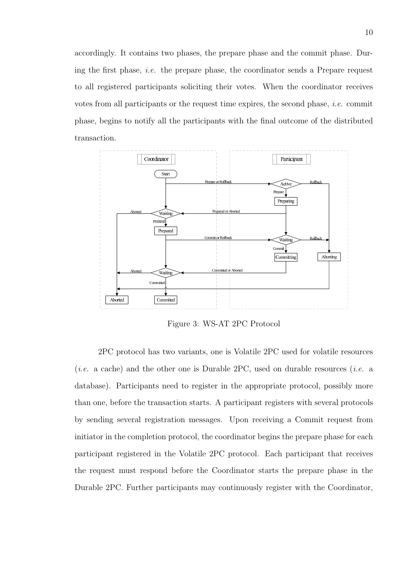accordingly. It contains two phases, the prepare phase and the commit phase. During the first phase, i.e. the prepare phase, the coordinator sends a Prepare request to all registered participants soliciting their votes. When the coordinator receives votes from all participants or the request time expires, the second phase, i.e. commit phase, begins to notify all the participants with the final outcome of the distributed transaction.



Figure 3: WS-AT 2PC Protocol

2PC protocol has two variants, one is Volatile 2PC used for volatile resources (*i.e.* a cache) and the other one is Durable 2PC, used on durable resources (*i.e.* a database). Participants need to register in the appropriate protocol, possibly more than one, before the transaction starts. A participant registers with several protocols by sending several registration messages. Upon receiving a Commit request from initiator in the completion protocol, the coordinator begins the prepare phase for each participant registered in the Volatile 2PC protocol. Each participant that receives the request must respond before the Coordinator starts the prepare phase in the Durable 2PC. Further participants may continuously register with the Coordinator,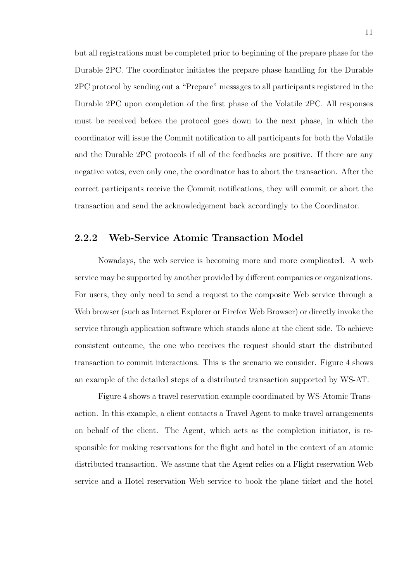but all registrations must be completed prior to beginning of the prepare phase for the Durable 2PC. The coordinator initiates the prepare phase handling for the Durable 2PC protocol by sending out a "Prepare" messages to all participants registered in the Durable 2PC upon completion of the first phase of the Volatile 2PC. All responses must be received before the protocol goes down to the next phase, in which the coordinator will issue the Commit notification to all participants for both the Volatile and the Durable 2PC protocols if all of the feedbacks are positive. If there are any negative votes, even only one, the coordinator has to abort the transaction. After the correct participants receive the Commit notifications, they will commit or abort the transaction and send the acknowledgement back accordingly to the Coordinator.

#### 2.2.2 Web-Service Atomic Transaction Model

Nowadays, the web service is becoming more and more complicated. A web service may be supported by another provided by different companies or organizations. For users, they only need to send a request to the composite Web service through a Web browser (such as Internet Explorer or Firefox Web Browser) or directly invoke the service through application software which stands alone at the client side. To achieve consistent outcome, the one who receives the request should start the distributed transaction to commit interactions. This is the scenario we consider. Figure 4 shows an example of the detailed steps of a distributed transaction supported by WS-AT.

Figure 4 shows a travel reservation example coordinated by WS-Atomic Transaction. In this example, a client contacts a Travel Agent to make travel arrangements on behalf of the client. The Agent, which acts as the completion initiator, is responsible for making reservations for the flight and hotel in the context of an atomic distributed transaction. We assume that the Agent relies on a Flight reservation Web service and a Hotel reservation Web service to book the plane ticket and the hotel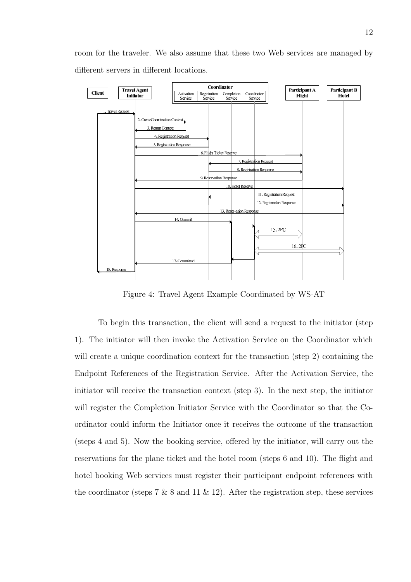room for the traveler. We also assume that these two Web services are managed by different servers in different locations.



Figure 4: Travel Agent Example Coordinated by WS-AT

To begin this transaction, the client will send a request to the initiator (step 1). The initiator will then invoke the Activation Service on the Coordinator which will create a unique coordination context for the transaction (step 2) containing the Endpoint References of the Registration Service. After the Activation Service, the initiator will receive the transaction context (step 3). In the next step, the initiator will register the Completion Initiator Service with the Coordinator so that the Coordinator could inform the Initiator once it receives the outcome of the transaction (steps 4 and 5). Now the booking service, offered by the initiator, will carry out the reservations for the plane ticket and the hotel room (steps 6 and 10). The flight and hotel booking Web services must register their participant endpoint references with the coordinator (steps 7  $\&$  8 and 11  $\&$  12). After the registration step, these services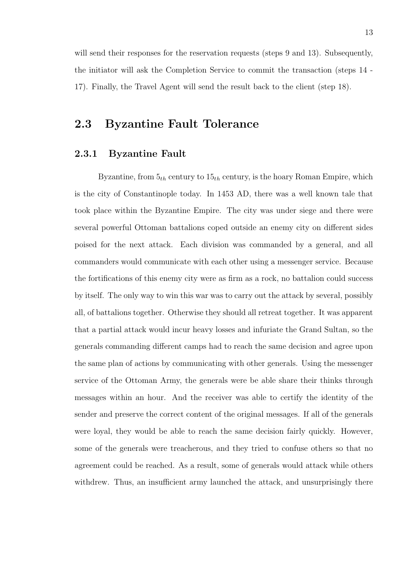will send their responses for the reservation requests (steps 9 and 13). Subsequently, the initiator will ask the Completion Service to commit the transaction (steps 14 - 17). Finally, the Travel Agent will send the result back to the client (step 18).

### 2.3 Byzantine Fault Tolerance

#### 2.3.1 Byzantine Fault

Byzantine, from  $5<sub>th</sub>$  century to  $15<sub>th</sub>$  century, is the hoary Roman Empire, which is the city of Constantinople today. In 1453 AD, there was a well known tale that took place within the Byzantine Empire. The city was under siege and there were several powerful Ottoman battalions coped outside an enemy city on different sides poised for the next attack. Each division was commanded by a general, and all commanders would communicate with each other using a messenger service. Because the fortifications of this enemy city were as firm as a rock, no battalion could success by itself. The only way to win this war was to carry out the attack by several, possibly all, of battalions together. Otherwise they should all retreat together. It was apparent that a partial attack would incur heavy losses and infuriate the Grand Sultan, so the generals commanding different camps had to reach the same decision and agree upon the same plan of actions by communicating with other generals. Using the messenger service of the Ottoman Army, the generals were be able share their thinks through messages within an hour. And the receiver was able to certify the identity of the sender and preserve the correct content of the original messages. If all of the generals were loyal, they would be able to reach the same decision fairly quickly. However, some of the generals were treacherous, and they tried to confuse others so that no agreement could be reached. As a result, some of generals would attack while others withdrew. Thus, an insufficient army launched the attack, and unsurprisingly there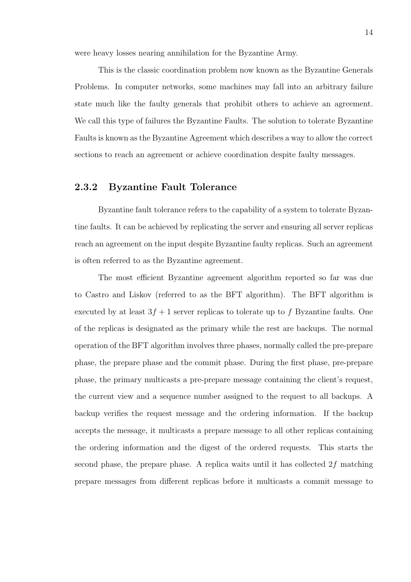were heavy losses nearing annihilation for the Byzantine Army.

This is the classic coordination problem now known as the Byzantine Generals Problems. In computer networks, some machines may fall into an arbitrary failure state much like the faulty generals that prohibit others to achieve an agreement. We call this type of failures the Byzantine Faults. The solution to tolerate Byzantine Faults is known as the Byzantine Agreement which describes a way to allow the correct sections to reach an agreement or achieve coordination despite faulty messages.

#### 2.3.2 Byzantine Fault Tolerance

Byzantine fault tolerance refers to the capability of a system to tolerate Byzantine faults. It can be achieved by replicating the server and ensuring all server replicas reach an agreement on the input despite Byzantine faulty replicas. Such an agreement is often referred to as the Byzantine agreement.

The most efficient Byzantine agreement algorithm reported so far was due to Castro and Liskov (referred to as the BFT algorithm). The BFT algorithm is executed by at least  $3f + 1$  server replicas to tolerate up to f Byzantine faults. One of the replicas is designated as the primary while the rest are backups. The normal operation of the BFT algorithm involves three phases, normally called the pre-prepare phase, the prepare phase and the commit phase. During the first phase, pre-prepare phase, the primary multicasts a pre-prepare message containing the client's request, the current view and a sequence number assigned to the request to all backups. A backup verifies the request message and the ordering information. If the backup accepts the message, it multicasts a prepare message to all other replicas containing the ordering information and the digest of the ordered requests. This starts the second phase, the prepare phase. A replica waits until it has collected  $2f$  matching prepare messages from different replicas before it multicasts a commit message to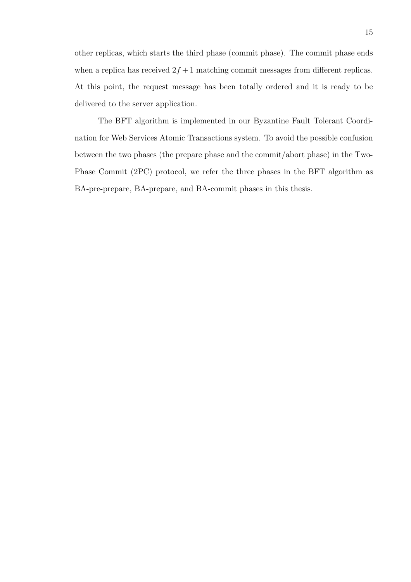other replicas, which starts the third phase (commit phase). The commit phase ends when a replica has received  $2f + 1$  matching commit messages from different replicas. At this point, the request message has been totally ordered and it is ready to be delivered to the server application.

The BFT algorithm is implemented in our Byzantine Fault Tolerant Coordination for Web Services Atomic Transactions system. To avoid the possible confusion between the two phases (the prepare phase and the commit/abort phase) in the Two-Phase Commit (2PC) protocol, we refer the three phases in the BFT algorithm as BA-pre-prepare, BA-prepare, and BA-commit phases in this thesis.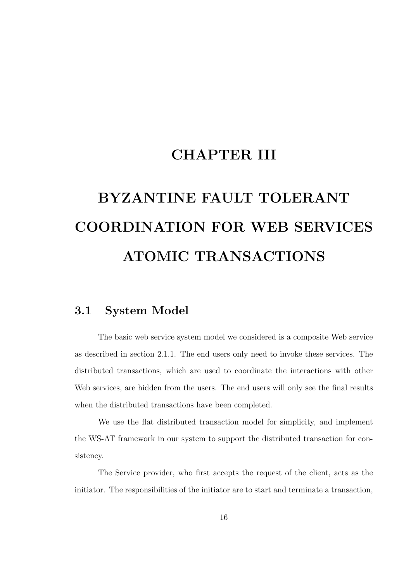# CHAPTER III

# BYZANTINE FAULT TOLERANT COORDINATION FOR WEB SERVICES ATOMIC TRANSACTIONS

### 3.1 System Model

The basic web service system model we considered is a composite Web service as described in section 2.1.1. The end users only need to invoke these services. The distributed transactions, which are used to coordinate the interactions with other Web services, are hidden from the users. The end users will only see the final results when the distributed transactions have been completed.

We use the flat distributed transaction model for simplicity, and implement the WS-AT framework in our system to support the distributed transaction for consistency.

The Service provider, who first accepts the request of the client, acts as the initiator. The responsibilities of the initiator are to start and terminate a transaction,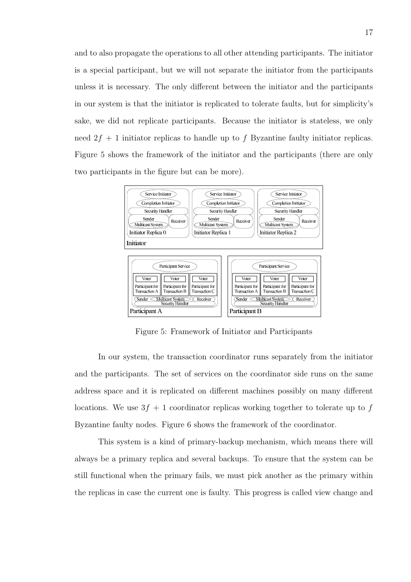and to also propagate the operations to all other attending participants. The initiator is a special participant, but we will not separate the initiator from the participants unless it is necessary. The only different between the initiator and the participants in our system is that the initiator is replicated to tolerate faults, but for simplicity's sake, we did not replicate participants. Because the initiator is stateless, we only need  $2f + 1$  initiator replicas to handle up to f Byzantine faulty initiator replicas. Figure 5 shows the framework of the initiator and the participants (there are only two participants in the figure but can be more).



Figure 5: Framework of Initiator and Participants

In our system, the transaction coordinator runs separately from the initiator and the participants. The set of services on the coordinator side runs on the same address space and it is replicated on different machines possibly on many different locations. We use  $3f + 1$  coordinator replicas working together to tolerate up to f Byzantine faulty nodes. Figure 6 shows the framework of the coordinator.

This system is a kind of primary-backup mechanism, which means there will always be a primary replica and several backups. To ensure that the system can be still functional when the primary fails, we must pick another as the primary within the replicas in case the current one is faulty. This progress is called view change and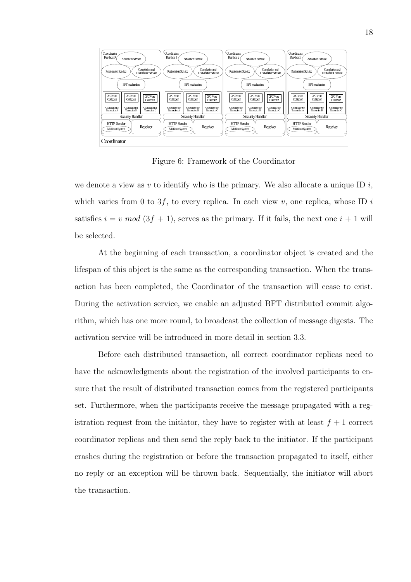

Figure 6: Framework of the Coordinator

we denote a view as v to identify who is the primary. We also allocate a unique ID  $i$ , which varies from 0 to 3f, to every replica. In each view v, one replica, whose ID i satisfies  $i = v \mod (3f + 1)$ , serves as the primary. If it fails, the next one  $i + 1$  will be selected.

At the beginning of each transaction, a coordinator object is created and the lifespan of this object is the same as the corresponding transaction. When the transaction has been completed, the Coordinator of the transaction will cease to exist. During the activation service, we enable an adjusted BFT distributed commit algorithm, which has one more round, to broadcast the collection of message digests. The activation service will be introduced in more detail in section 3.3.

Before each distributed transaction, all correct coordinator replicas need to have the acknowledgments about the registration of the involved participants to ensure that the result of distributed transaction comes from the registered participants set. Furthermore, when the participants receive the message propagated with a registration request from the initiator, they have to register with at least  $f + 1$  correct coordinator replicas and then send the reply back to the initiator. If the participant crashes during the registration or before the transaction propagated to itself, either no reply or an exception will be thrown back. Sequentially, the initiator will abort the transaction.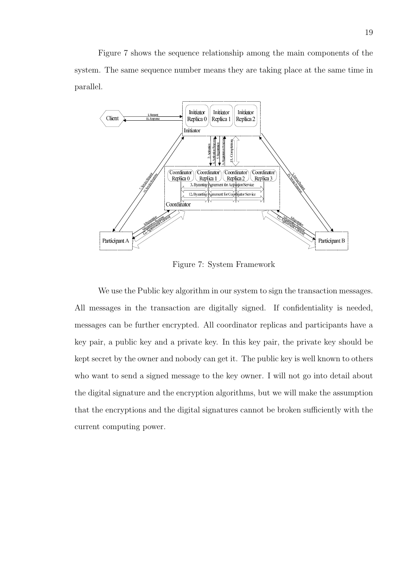Figure 7 shows the sequence relationship among the main components of the system. The same sequence number means they are taking place at the same time in parallel.



Figure 7: System Framework

We use the Public key algorithm in our system to sign the transaction messages. All messages in the transaction are digitally signed. If confidentiality is needed, messages can be further encrypted. All coordinator replicas and participants have a key pair, a public key and a private key. In this key pair, the private key should be kept secret by the owner and nobody can get it. The public key is well known to others who want to send a signed message to the key owner. I will not go into detail about the digital signature and the encryption algorithms, but we will make the assumption that the encryptions and the digital signatures cannot be broken sufficiently with the current computing power.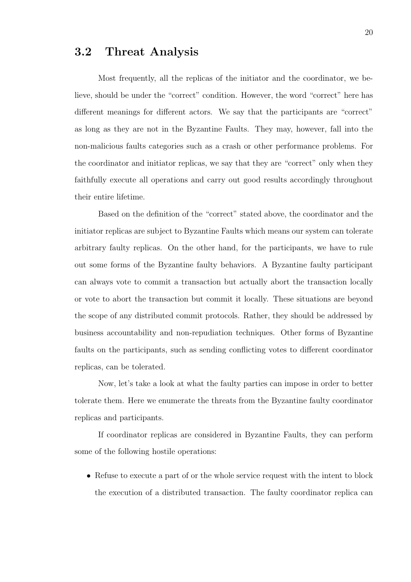### 3.2 Threat Analysis

Most frequently, all the replicas of the initiator and the coordinator, we believe, should be under the "correct" condition. However, the word "correct" here has different meanings for different actors. We say that the participants are "correct" as long as they are not in the Byzantine Faults. They may, however, fall into the non-malicious faults categories such as a crash or other performance problems. For the coordinator and initiator replicas, we say that they are "correct" only when they faithfully execute all operations and carry out good results accordingly throughout their entire lifetime.

Based on the definition of the "correct" stated above, the coordinator and the initiator replicas are subject to Byzantine Faults which means our system can tolerate arbitrary faulty replicas. On the other hand, for the participants, we have to rule out some forms of the Byzantine faulty behaviors. A Byzantine faulty participant can always vote to commit a transaction but actually abort the transaction locally or vote to abort the transaction but commit it locally. These situations are beyond the scope of any distributed commit protocols. Rather, they should be addressed by business accountability and non-repudiation techniques. Other forms of Byzantine faults on the participants, such as sending conflicting votes to different coordinator replicas, can be tolerated.

Now, let's take a look at what the faulty parties can impose in order to better tolerate them. Here we enumerate the threats from the Byzantine faulty coordinator replicas and participants.

If coordinator replicas are considered in Byzantine Faults, they can perform some of the following hostile operations:

• Refuse to execute a part of or the whole service request with the intent to block the execution of a distributed transaction. The faulty coordinator replica can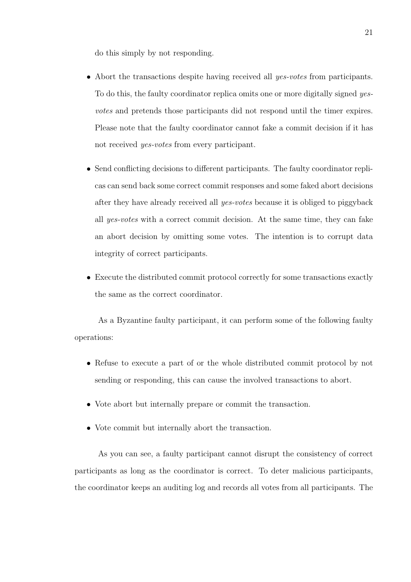do this simply by not responding.

- Abort the transactions despite having received all *yes-votes* from participants. To do this, the faulty coordinator replica omits one or more digitally signed yesvotes and pretends those participants did not respond until the timer expires. Please note that the faulty coordinator cannot fake a commit decision if it has not received yes-votes from every participant.
- Send conflicting decisions to different participants. The faulty coordinator replicas can send back some correct commit responses and some faked abort decisions after they have already received all yes-votes because it is obliged to piggyback all yes-votes with a correct commit decision. At the same time, they can fake an abort decision by omitting some votes. The intention is to corrupt data integrity of correct participants.
- Execute the distributed commit protocol correctly for some transactions exactly the same as the correct coordinator.

As a Byzantine faulty participant, it can perform some of the following faulty operations:

- Refuse to execute a part of or the whole distributed commit protocol by not sending or responding, this can cause the involved transactions to abort.
- Vote abort but internally prepare or commit the transaction.
- Vote commit but internally abort the transaction.

As you can see, a faulty participant cannot disrupt the consistency of correct participants as long as the coordinator is correct. To deter malicious participants, the coordinator keeps an auditing log and records all votes from all participants. The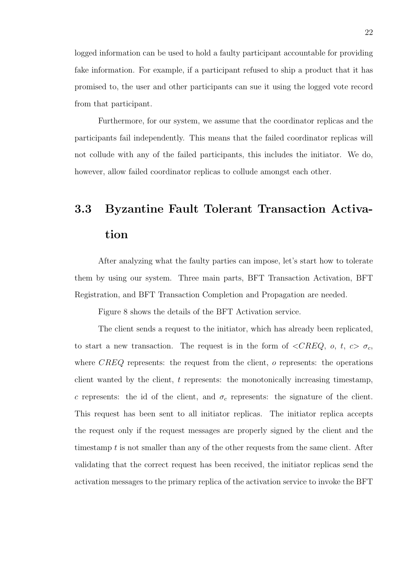logged information can be used to hold a faulty participant accountable for providing fake information. For example, if a participant refused to ship a product that it has promised to, the user and other participants can sue it using the logged vote record from that participant.

Furthermore, for our system, we assume that the coordinator replicas and the participants fail independently. This means that the failed coordinator replicas will not collude with any of the failed participants, this includes the initiator. We do, however, allow failed coordinator replicas to collude amongst each other.

# 3.3 Byzantine Fault Tolerant Transaction Activation

After analyzing what the faulty parties can impose, let's start how to tolerate them by using our system. Three main parts, BFT Transaction Activation, BFT Registration, and BFT Transaction Completion and Propagation are needed.

Figure 8 shows the details of the BFT Activation service.

The client sends a request to the initiator, which has already been replicated, to start a new transaction. The request is in the form of  $\langle CREQ, o, t, c \rangle \sigma_c$ , where  $CREQ$  represents: the request from the client,  $o$  represents: the operations client wanted by the client, t represents: the monotonically increasing timestamp, c represents: the id of the client, and  $\sigma_c$  represents: the signature of the client. This request has been sent to all initiator replicas. The initiator replica accepts the request only if the request messages are properly signed by the client and the timestamp t is not smaller than any of the other requests from the same client. After validating that the correct request has been received, the initiator replicas send the activation messages to the primary replica of the activation service to invoke the BFT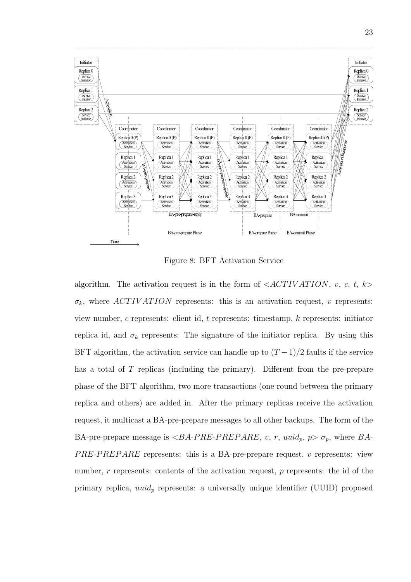

Figure 8: BFT Activation Service

algorithm. The activation request is in the form of  $\langle ACTIVATION, v, c, t, k \rangle$  $\sigma_k$ , where ACTIVATION represents: this is an activation request, v represents: view number, c represents: client id, t represents: timestamp, k represents: initiator replica id, and  $\sigma_k$  represents: The signature of the initiator replica. By using this BFT algorithm, the activation service can handle up to  $(T-1)/2$  faults if the service has a total of T replicas (including the primary). Different from the pre-prepare phase of the BFT algorithm, two more transactions (one round between the primary replica and others) are added in. After the primary replicas receive the activation request, it multicast a BA-pre-prepare messages to all other backups. The form of the BA-pre-prepare message is  $\langle B \cdot PRE-P R E P A R E, v, r, u \rangle$ ,  $p > \sigma_p$ , where  $BA$ -PRE-PREPARE represents: this is a BA-pre-prepare request, v represents: view number, r represents: contents of the activation request, p represents: the id of the primary replica,  $uuid_p$  represents: a universally unique identifier (UUID) proposed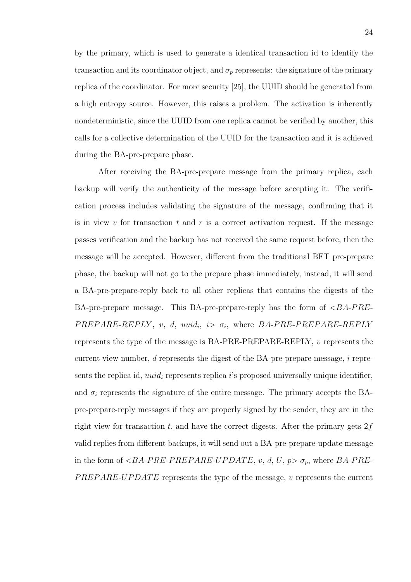by the primary, which is used to generate a identical transaction id to identify the transaction and its coordinator object, and  $\sigma_p$  represents: the signature of the primary replica of the coordinator. For more security [25], the UUID should be generated from a high entropy source. However, this raises a problem. The activation is inherently nondeterministic, since the UUID from one replica cannot be verified by another, this calls for a collective determination of the UUID for the transaction and it is achieved during the BA-pre-prepare phase.

After receiving the BA-pre-prepare message from the primary replica, each backup will verify the authenticity of the message before accepting it. The verification process includes validating the signature of the message, confirming that it is in view  $v$  for transaction  $t$  and  $r$  is a correct activation request. If the message passes verification and the backup has not received the same request before, then the message will be accepted. However, different from the traditional BFT pre-prepare phase, the backup will not go to the prepare phase immediately, instead, it will send a BA-pre-prepare-reply back to all other replicas that contains the digests of the BA-pre-prepare message. This BA-pre-prepare-reply has the form of  $\langle BA-PRE PREPARE-REPLY$ , v, d, uuid<sub>i</sub>,  $i > \sigma_i$ , where BA-PRE-PREPARE-REPLY represents the type of the message is BA-PRE-PREPARE-REPLY,  $v$  represents the current view number, d represents the digest of the BA-pre-prepare message, i represents the replica id, *uuid<sub>i</sub>* represents replica *i*'s proposed universally unique identifier, and  $\sigma_i$  represents the signature of the entire message. The primary accepts the BApre-prepare-reply messages if they are properly signed by the sender, they are in the right view for transaction t, and have the correct digests. After the primary gets  $2f$ valid replies from different backups, it will send out a BA-pre-prepare-update message in the form of  $\langle B \text{A-PRE-PREPARE-UPDATE}, v, d, U, p \rangle$ , where BA-PRE-PREPARE-UPDATE represents the type of the message, v represents the current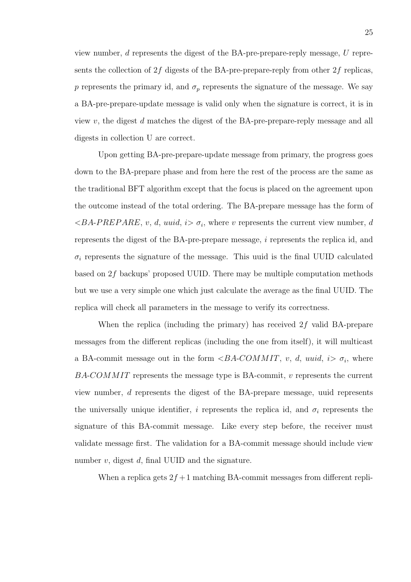view number, d represents the digest of the BA-pre-prepare-reply message, U represents the collection of  $2f$  digests of the BA-pre-prepare-reply from other  $2f$  replicas, p represents the primary id, and  $\sigma_p$  represents the signature of the message. We say a BA-pre-prepare-update message is valid only when the signature is correct, it is in view v, the digest  $d$  matches the digest of the BA-pre-prepare-reply message and all digests in collection U are correct.

Upon getting BA-pre-prepare-update message from primary, the progress goes down to the BA-prepare phase and from here the rest of the process are the same as the traditional BFT algorithm except that the focus is placed on the agreement upon the outcome instead of the total ordering. The BA-prepare message has the form of  $\langle B\hat{A}-P\hat{B}P\hat{B}P\hat{B}P\hat{B}P, v, d, uuid, i \rangle \sigma_i$ , where v represents the current view number, d represents the digest of the BA-pre-prepare message, i represents the replica id, and  $\sigma_i$  represents the signature of the message. This uuid is the final UUID calculated based on 2f backups' proposed UUID. There may be multiple computation methods but we use a very simple one which just calculate the average as the final UUID. The replica will check all parameters in the message to verify its correctness.

When the replica (including the primary) has received  $2f$  valid BA-prepare messages from the different replicas (including the one from itself), it will multicast a BA-commit message out in the form  $\langle BA\text{-}COMMIT, v, d, uuid, i\rangle \sigma_i$ , where  $B A-COMMIT$  represents the message type is BA-commit, v represents the current view number, d represents the digest of the BA-prepare message, uuid represents the universally unique identifier, i represents the replica id, and  $\sigma_i$  represents the signature of this BA-commit message. Like every step before, the receiver must validate message first. The validation for a BA-commit message should include view number  $v$ , digest  $d$ , final UUID and the signature.

When a replica gets  $2f + 1$  matching BA-commit messages from different repli-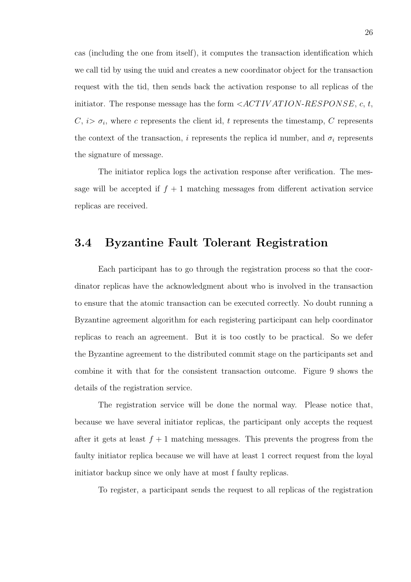cas (including the one from itself), it computes the transaction identification which we call tid by using the uuid and creates a new coordinator object for the transaction request with the tid, then sends back the activation response to all replicas of the initiator. The response message has the form  $\langle ACTIVATION-RESPONSE, c, t,$  $C, i > \sigma_i$ , where c represents the client id, t represents the timestamp, C represents the context of the transaction, i represents the replica id number, and  $\sigma_i$  represents the signature of message.

The initiator replica logs the activation response after verification. The message will be accepted if  $f + 1$  matching messages from different activation service replicas are received.

### 3.4 Byzantine Fault Tolerant Registration

Each participant has to go through the registration process so that the coordinator replicas have the acknowledgment about who is involved in the transaction to ensure that the atomic transaction can be executed correctly. No doubt running a Byzantine agreement algorithm for each registering participant can help coordinator replicas to reach an agreement. But it is too costly to be practical. So we defer the Byzantine agreement to the distributed commit stage on the participants set and combine it with that for the consistent transaction outcome. Figure 9 shows the details of the registration service.

The registration service will be done the normal way. Please notice that, because we have several initiator replicas, the participant only accepts the request after it gets at least  $f + 1$  matching messages. This prevents the progress from the faulty initiator replica because we will have at least 1 correct request from the loyal initiator backup since we only have at most f faulty replicas.

To register, a participant sends the request to all replicas of the registration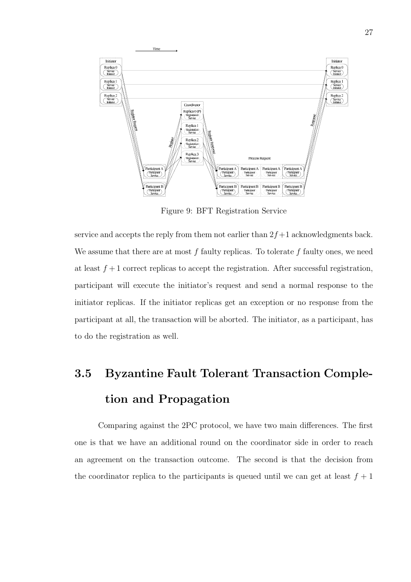

Figure 9: BFT Registration Service

service and accepts the reply from them not earlier than  $2f+1$  acknowledgments back. We assume that there are at most  $f$  faulty replicas. To tolerate  $f$  faulty ones, we need at least  $f + 1$  correct replicas to accept the registration. After successful registration, participant will execute the initiator's request and send a normal response to the initiator replicas. If the initiator replicas get an exception or no response from the participant at all, the transaction will be aborted. The initiator, as a participant, has to do the registration as well.

# 3.5 Byzantine Fault Tolerant Transaction Completion and Propagation

Comparing against the 2PC protocol, we have two main differences. The first one is that we have an additional round on the coordinator side in order to reach an agreement on the transaction outcome. The second is that the decision from the coordinator replica to the participants is queued until we can get at least  $f + 1$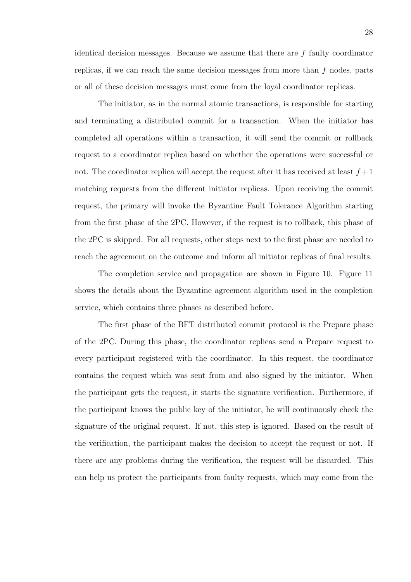identical decision messages. Because we assume that there are f faulty coordinator replicas, if we can reach the same decision messages from more than  $f$  nodes, parts or all of these decision messages must come from the loyal coordinator replicas.

The initiator, as in the normal atomic transactions, is responsible for starting and terminating a distributed commit for a transaction. When the initiator has completed all operations within a transaction, it will send the commit or rollback request to a coordinator replica based on whether the operations were successful or not. The coordinator replica will accept the request after it has received at least  $f+1$ matching requests from the different initiator replicas. Upon receiving the commit request, the primary will invoke the Byzantine Fault Tolerance Algorithm starting from the first phase of the 2PC. However, if the request is to rollback, this phase of the 2PC is skipped. For all requests, other steps next to the first phase are needed to reach the agreement on the outcome and inform all initiator replicas of final results.

The completion service and propagation are shown in Figure 10. Figure 11 shows the details about the Byzantine agreement algorithm used in the completion service, which contains three phases as described before.

The first phase of the BFT distributed commit protocol is the Prepare phase of the 2PC. During this phase, the coordinator replicas send a Prepare request to every participant registered with the coordinator. In this request, the coordinator contains the request which was sent from and also signed by the initiator. When the participant gets the request, it starts the signature verification. Furthermore, if the participant knows the public key of the initiator, he will continuously check the signature of the original request. If not, this step is ignored. Based on the result of the verification, the participant makes the decision to accept the request or not. If there are any problems during the verification, the request will be discarded. This can help us protect the participants from faulty requests, which may come from the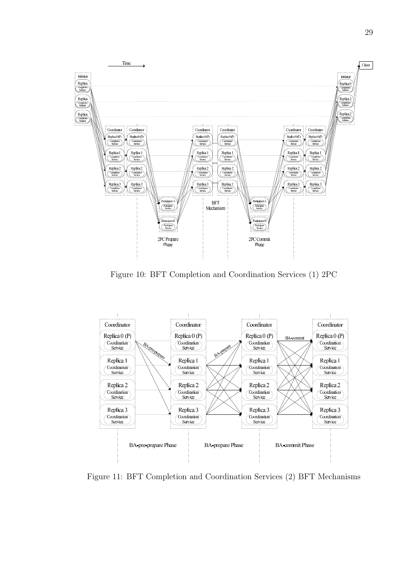

Figure 10: BFT Completion and Coordination Services (1) 2PC



Figure 11: BFT Completion and Coordination Services (2) BFT Mechanisms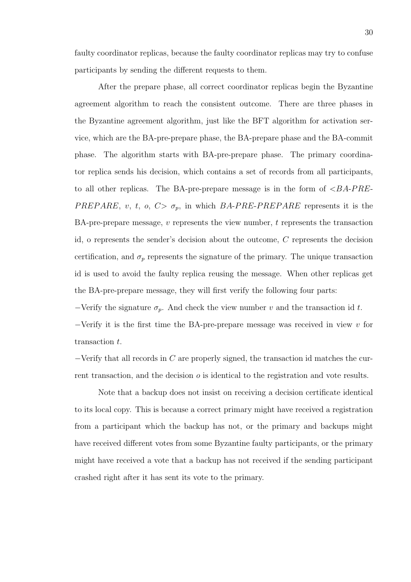faulty coordinator replicas, because the faulty coordinator replicas may try to confuse participants by sending the different requests to them.

After the prepare phase, all correct coordinator replicas begin the Byzantine agreement algorithm to reach the consistent outcome. There are three phases in the Byzantine agreement algorithm, just like the BFT algorithm for activation service, which are the BA-pre-prepare phase, the BA-prepare phase and the BA-commit phase. The algorithm starts with BA-pre-prepare phase. The primary coordinator replica sends his decision, which contains a set of records from all participants, to all other replicas. The BA-pre-prepare message is in the form of  $\langle BA-PRE-$ PREPARE, v, t, o,  $C > \sigma_p$ , in which BA-PRE-PREPARE represents it is the BA-pre-prepare message,  $v$  represents the view number,  $t$  represents the transaction id, o represents the sender's decision about the outcome, C represents the decision certification, and  $\sigma_p$  represents the signature of the primary. The unique transaction id is used to avoid the faulty replica reusing the message. When other replicas get the BA-pre-prepare message, they will first verify the following four parts:

 $-$ Verify the signature  $\sigma_p$ . And check the view number v and the transaction id t.

 $-V$ erify it is the first time the BA-pre-prepare message was received in view v for transaction t.

 $-V$ erify that all records in C are properly signed, the transaction id matches the current transaction, and the decision  $\sigma$  is identical to the registration and vote results.

Note that a backup does not insist on receiving a decision certificate identical to its local copy. This is because a correct primary might have received a registration from a participant which the backup has not, or the primary and backups might have received different votes from some Byzantine faulty participants, or the primary might have received a vote that a backup has not received if the sending participant crashed right after it has sent its vote to the primary.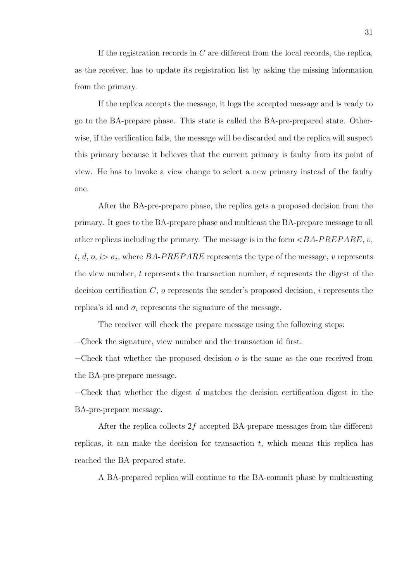If the registration records in C are different from the local records, the replica, as the receiver, has to update its registration list by asking the missing information from the primary.

If the replica accepts the message, it logs the accepted message and is ready to go to the BA-prepare phase. This state is called the BA-pre-prepared state. Otherwise, if the verification fails, the message will be discarded and the replica will suspect this primary because it believes that the current primary is faulty from its point of view. He has to invoke a view change to select a new primary instead of the faulty one.

After the BA-pre-prepare phase, the replica gets a proposed decision from the primary. It goes to the BA-prepare phase and multicast the BA-prepare message to all other replicas including the primary. The message is in the form  $\langle B A-P R E P A R E, v, \rangle$ t, d, o,  $i > \sigma_i$ , where BA-PREPARE represents the type of the message, v represents the view number,  $t$  represents the transaction number,  $d$  represents the digest of the decision certification  $C$ ,  $\sigma$  represents the sender's proposed decision,  $i$  represents the replica's id and  $\sigma_i$  represents the signature of the message.

The receiver will check the prepare message using the following steps: −Check the signature, view number and the transaction id first.

 $-\text{Check that whether the proposed decision } o \text{ is the same as the one received from }$ the BA-pre-prepare message.

 $-Check$  that whether the digest d matches the decision certification digest in the BA-pre-prepare message.

After the replica collects  $2f$  accepted BA-prepare messages from the different replicas, it can make the decision for transaction  $t$ , which means this replica has reached the BA-prepared state.

A BA-prepared replica will continue to the BA-commit phase by multicasting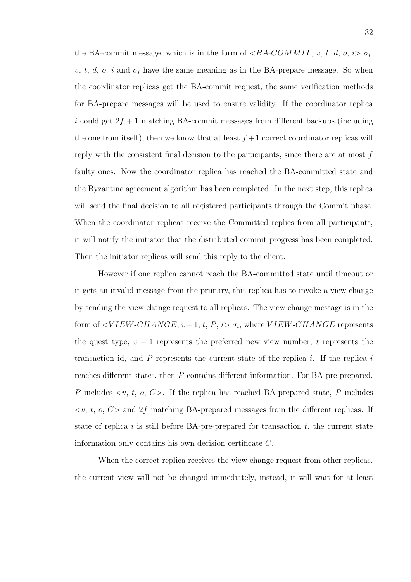the BA-commit message, which is in the form of  $\langle BA\text{-}COMMIT, v, t, d, o, i \rangle \sigma_i$ . v, t, d, o, i and  $\sigma_i$  have the same meaning as in the BA-prepare message. So when the coordinator replicas get the BA-commit request, the same verification methods for BA-prepare messages will be used to ensure validity. If the coordinator replica i could get  $2f + 1$  matching BA-commit messages from different backups (including the one from itself), then we know that at least  $f + 1$  correct coordinator replicas will reply with the consistent final decision to the participants, since there are at most f faulty ones. Now the coordinator replica has reached the BA-committed state and the Byzantine agreement algorithm has been completed. In the next step, this replica will send the final decision to all registered participants through the Commit phase. When the coordinator replicas receive the Committed replies from all participants, it will notify the initiator that the distributed commit progress has been completed. Then the initiator replicas will send this reply to the client.

However if one replica cannot reach the BA-committed state until timeout or it gets an invalid message from the primary, this replica has to invoke a view change by sending the view change request to all replicas. The view change message is in the form of  $\langle VIEW\text{-}CHANGE, v+1, t, P, i \rangle$   $\sigma_i$ , where  $VIEW\text{-}CHANGE$  represents the quest type,  $v + 1$  represents the preferred new view number, t represents the transaction id, and  $P$  represents the current state of the replica  $i$ . If the replica  $i$ reaches different states, then P contains different information. For BA-pre-prepared, P includes  $\langle v, t, o, C \rangle$ . If the replica has reached BA-prepared state, P includes  $\langle v, t, o, C \rangle$  and  $2f$  matching BA-prepared messages from the different replicas. If state of replica i is still before BA-pre-prepared for transaction  $t$ , the current state information only contains his own decision certificate C.

When the correct replica receives the view change request from other replicas, the current view will not be changed immediately, instead, it will wait for at least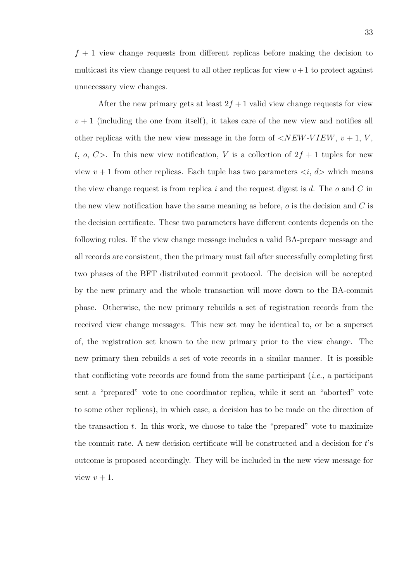$f + 1$  view change requests from different replicas before making the decision to multicast its view change request to all other replicas for view  $v+1$  to protect against unnecessary view changes.

After the new primary gets at least  $2f + 1$  valid view change requests for view  $v + 1$  (including the one from itself), it takes care of the new view and notifies all other replicas with the new view message in the form of  $\langle NEW-VIEW, v+1, V,$ t, o,  $C$ >. In this new view notification, V is a collection of  $2f + 1$  tuples for new view  $v + 1$  from other replicas. Each tuple has two parameters  $\langle i, d \rangle$  which means the view change request is from replica i and the request digest is d. The  $o$  and  $C$  in the new view notification have the same meaning as before,  $o$  is the decision and  $C$  is the decision certificate. These two parameters have different contents depends on the following rules. If the view change message includes a valid BA-prepare message and all records are consistent, then the primary must fail after successfully completing first two phases of the BFT distributed commit protocol. The decision will be accepted by the new primary and the whole transaction will move down to the BA-commit phase. Otherwise, the new primary rebuilds a set of registration records from the received view change messages. This new set may be identical to, or be a superset of, the registration set known to the new primary prior to the view change. The new primary then rebuilds a set of vote records in a similar manner. It is possible that conflicting vote records are found from the same participant  $(i.e., a$  participant sent a "prepared" vote to one coordinator replica, while it sent an "aborted" vote to some other replicas), in which case, a decision has to be made on the direction of the transaction  $t$ . In this work, we choose to take the "prepared" vote to maximize the commit rate. A new decision certificate will be constructed and a decision for t's outcome is proposed accordingly. They will be included in the new view message for view  $v + 1$ .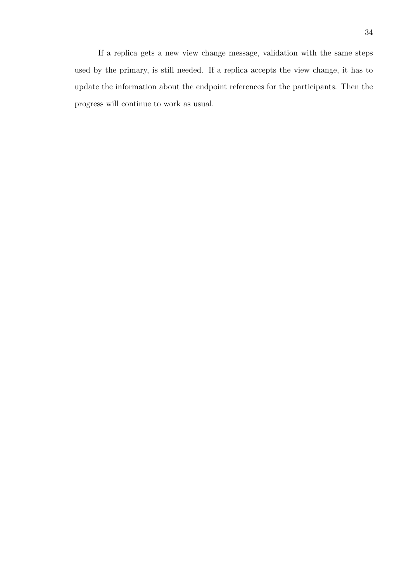If a replica gets a new view change message, validation with the same steps used by the primary, is still needed. If a replica accepts the view change, it has to update the information about the endpoint references for the participants. Then the progress will continue to work as usual.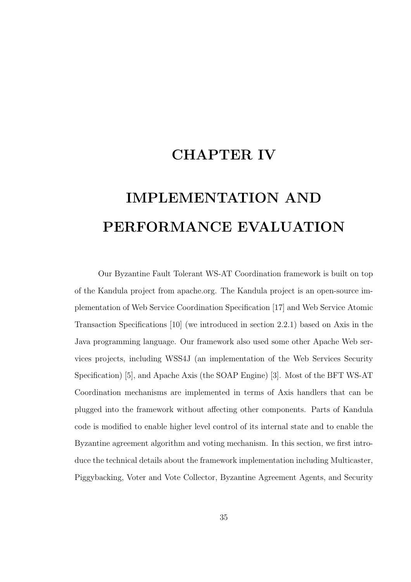## CHAPTER IV

# IMPLEMENTATION AND PERFORMANCE EVALUATION

Our Byzantine Fault Tolerant WS-AT Coordination framework is built on top of the Kandula project from apache.org. The Kandula project is an open-source implementation of Web Service Coordination Specification [17] and Web Service Atomic Transaction Specifications [10] (we introduced in section 2.2.1) based on Axis in the Java programming language. Our framework also used some other Apache Web services projects, including WSS4J (an implementation of the Web Services Security Specification) [5], and Apache Axis (the SOAP Engine) [3]. Most of the BFT WS-AT Coordination mechanisms are implemented in terms of Axis handlers that can be plugged into the framework without affecting other components. Parts of Kandula code is modified to enable higher level control of its internal state and to enable the Byzantine agreement algorithm and voting mechanism. In this section, we first introduce the technical details about the framework implementation including Multicaster, Piggybacking, Voter and Vote Collector, Byzantine Agreement Agents, and Security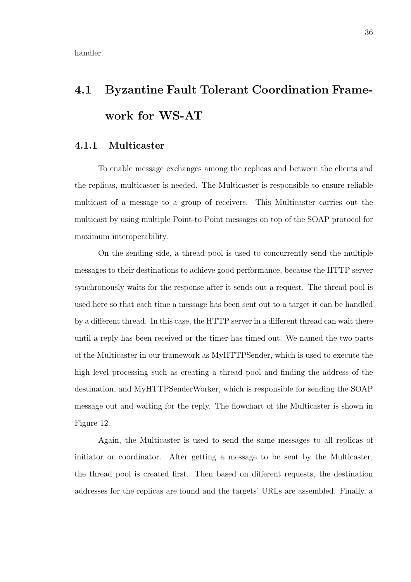handler.

# 4.1 Byzantine Fault Tolerant Coordination Framework for WS-AT

#### 4.1.1 Multicaster

To enable message exchanges among the replicas and between the clients and the replicas, multicaster is needed. The Multicaster is responsible to ensure reliable multicast of a message to a group of receivers. This Multicaster carries out the multicast by using multiple Point-to-Point messages on top of the SOAP protocol for maximum interoperability.

On the sending side, a thread pool is used to concurrently send the multiple messages to their destinations to achieve good performance, because the HTTP server synchronously waits for the response after it sends out a request. The thread pool is used here so that each time a message has been sent out to a target it can be handled by a different thread. In this case, the HTTP server in a different thread can wait there until a reply has been received or the timer has timed out. We named the two parts of the Multicaster in our framework as MyHTTPSender, which is used to execute the high level processing such as creating a thread pool and finding the address of the destination, and MyHTTPSenderWorker, which is responsible for sending the SOAP message out and waiting for the reply. The flowchart of the Multicaster is shown in Figure 12.

Again, the Multicaster is used to send the same messages to all replicas of initiator or coordinator. After getting a message to be sent by the Multicaster, the thread pool is created first. Then based on different requests, the destination addresses for the replicas are found and the targets' URLs are assembled. Finally, a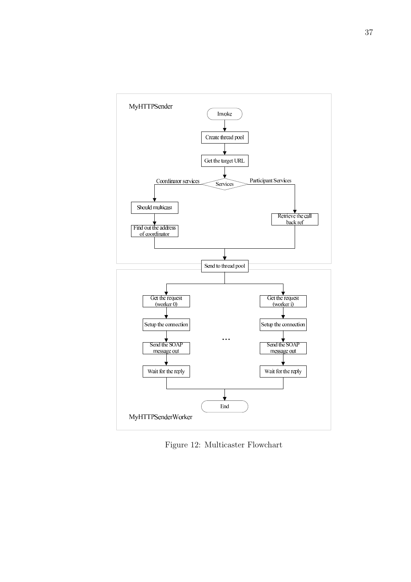

Figure 12: Multicaster Flowchart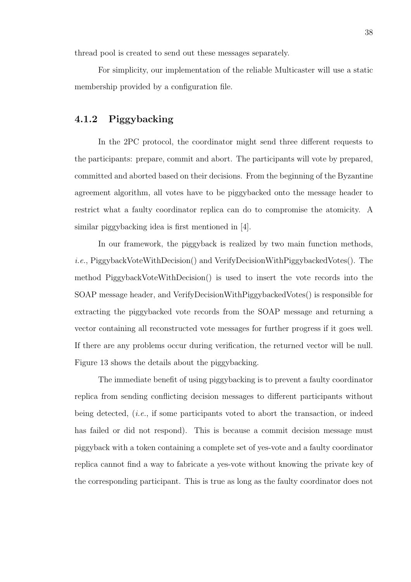thread pool is created to send out these messages separately.

For simplicity, our implementation of the reliable Multicaster will use a static membership provided by a configuration file.

#### 4.1.2 Piggybacking

In the 2PC protocol, the coordinator might send three different requests to the participants: prepare, commit and abort. The participants will vote by prepared, committed and aborted based on their decisions. From the beginning of the Byzantine agreement algorithm, all votes have to be piggybacked onto the message header to restrict what a faulty coordinator replica can do to compromise the atomicity. A similar piggybacking idea is first mentioned in [4].

In our framework, the piggyback is realized by two main function methods, i.e., PiggybackVoteWithDecision() and VerifyDecisionWithPiggybackedVotes(). The method PiggybackVoteWithDecision() is used to insert the vote records into the SOAP message header, and VerifyDecisionWithPiggybackedVotes() is responsible for extracting the piggybacked vote records from the SOAP message and returning a vector containing all reconstructed vote messages for further progress if it goes well. If there are any problems occur during verification, the returned vector will be null. Figure 13 shows the details about the piggybacking.

The immediate benefit of using piggybacking is to prevent a faulty coordinator replica from sending conflicting decision messages to different participants without being detected, (i.e., if some participants voted to abort the transaction, or indeed has failed or did not respond). This is because a commit decision message must piggyback with a token containing a complete set of yes-vote and a faulty coordinator replica cannot find a way to fabricate a yes-vote without knowing the private key of the corresponding participant. This is true as long as the faulty coordinator does not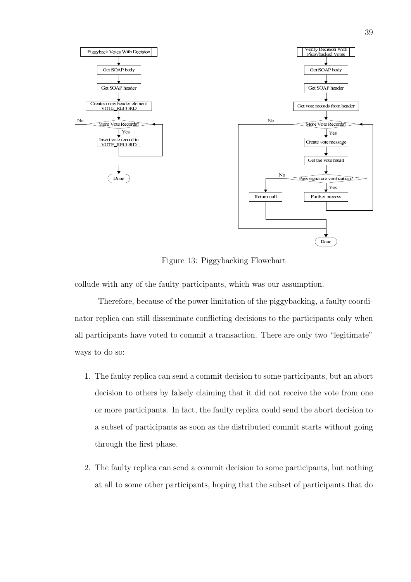

Figure 13: Piggybacking Flowchart

collude with any of the faulty participants, which was our assumption.

Therefore, because of the power limitation of the piggybacking, a faulty coordinator replica can still disseminate conflicting decisions to the participants only when all participants have voted to commit a transaction. There are only two "legitimate" ways to do so:

- 1. The faulty replica can send a commit decision to some participants, but an abort decision to others by falsely claiming that it did not receive the vote from one or more participants. In fact, the faulty replica could send the abort decision to a subset of participants as soon as the distributed commit starts without going through the first phase.
- 2. The faulty replica can send a commit decision to some participants, but nothing at all to some other participants, hoping that the subset of participants that do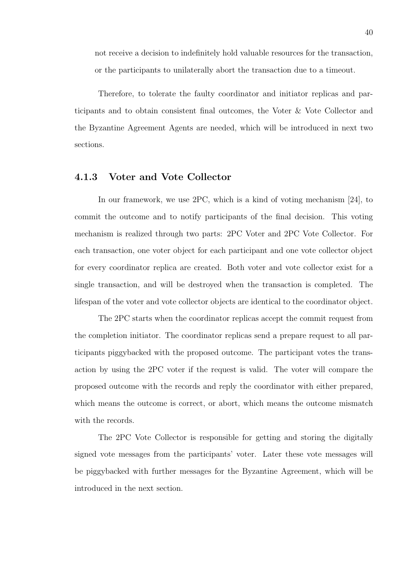not receive a decision to indefinitely hold valuable resources for the transaction, or the participants to unilaterally abort the transaction due to a timeout.

Therefore, to tolerate the faulty coordinator and initiator replicas and participants and to obtain consistent final outcomes, the Voter & Vote Collector and the Byzantine Agreement Agents are needed, which will be introduced in next two sections.

#### 4.1.3 Voter and Vote Collector

In our framework, we use 2PC, which is a kind of voting mechanism [24], to commit the outcome and to notify participants of the final decision. This voting mechanism is realized through two parts: 2PC Voter and 2PC Vote Collector. For each transaction, one voter object for each participant and one vote collector object for every coordinator replica are created. Both voter and vote collector exist for a single transaction, and will be destroyed when the transaction is completed. The lifespan of the voter and vote collector objects are identical to the coordinator object.

The 2PC starts when the coordinator replicas accept the commit request from the completion initiator. The coordinator replicas send a prepare request to all participants piggybacked with the proposed outcome. The participant votes the transaction by using the 2PC voter if the request is valid. The voter will compare the proposed outcome with the records and reply the coordinator with either prepared, which means the outcome is correct, or abort, which means the outcome mismatch with the records.

The 2PC Vote Collector is responsible for getting and storing the digitally signed vote messages from the participants' voter. Later these vote messages will be piggybacked with further messages for the Byzantine Agreement, which will be introduced in the next section.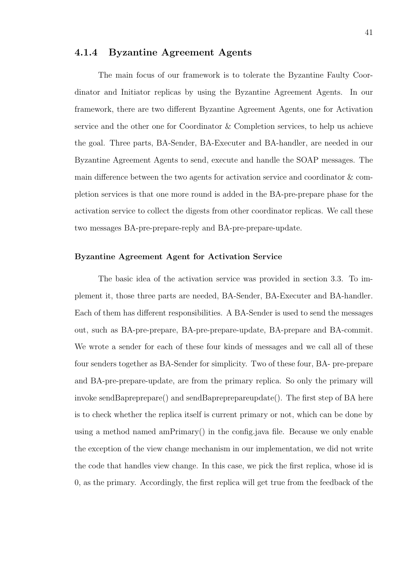#### 4.1.4 Byzantine Agreement Agents

The main focus of our framework is to tolerate the Byzantine Faulty Coordinator and Initiator replicas by using the Byzantine Agreement Agents. In our framework, there are two different Byzantine Agreement Agents, one for Activation service and the other one for Coordinator & Completion services, to help us achieve the goal. Three parts, BA-Sender, BA-Executer and BA-handler, are needed in our Byzantine Agreement Agents to send, execute and handle the SOAP messages. The main difference between the two agents for activation service and coordinator & completion services is that one more round is added in the BA-pre-prepare phase for the activation service to collect the digests from other coordinator replicas. We call these two messages BA-pre-prepare-reply and BA-pre-prepare-update.

#### Byzantine Agreement Agent for Activation Service

The basic idea of the activation service was provided in section 3.3. To implement it, those three parts are needed, BA-Sender, BA-Executer and BA-handler. Each of them has different responsibilities. A BA-Sender is used to send the messages out, such as BA-pre-prepare, BA-pre-prepare-update, BA-prepare and BA-commit. We wrote a sender for each of these four kinds of messages and we call all of these four senders together as BA-Sender for simplicity. Two of these four, BA- pre-prepare and BA-pre-prepare-update, are from the primary replica. So only the primary will invoke sendBapreprepare() and sendBapreprepareupdate(). The first step of BA here is to check whether the replica itself is current primary or not, which can be done by using a method named amPrimary() in the config.java file. Because we only enable the exception of the view change mechanism in our implementation, we did not write the code that handles view change. In this case, we pick the first replica, whose id is 0, as the primary. Accordingly, the first replica will get true from the feedback of the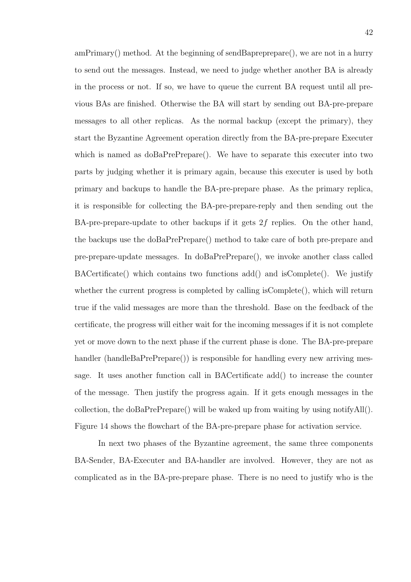amPrimary() method. At the beginning of sendBapreprepare(), we are not in a hurry to send out the messages. Instead, we need to judge whether another BA is already in the process or not. If so, we have to queue the current BA request until all previous BAs are finished. Otherwise the BA will start by sending out BA-pre-prepare messages to all other replicas. As the normal backup (except the primary), they start the Byzantine Agreement operation directly from the BA-pre-prepare Executer which is named as  $d_0$ BaPrePrepare(). We have to separate this executer into two parts by judging whether it is primary again, because this executer is used by both primary and backups to handle the BA-pre-prepare phase. As the primary replica, it is responsible for collecting the BA-pre-prepare-reply and then sending out the BA-pre-prepare-update to other backups if it gets  $2f$  replies. On the other hand, the backups use the doBaPrePrepare() method to take care of both pre-prepare and pre-prepare-update messages. In doBaPrePrepare(), we invoke another class called BACertificate() which contains two functions add() and isComplete(). We justify whether the current progress is completed by calling is Complete(), which will return true if the valid messages are more than the threshold. Base on the feedback of the certificate, the progress will either wait for the incoming messages if it is not complete yet or move down to the next phase if the current phase is done. The BA-pre-prepare handler (handleBaPrePrepare()) is responsible for handling every new arriving message. It uses another function call in BACertificate add() to increase the counter of the message. Then justify the progress again. If it gets enough messages in the collection, the doBaPrePrepare() will be waked up from waiting by using notifyAll(). Figure 14 shows the flowchart of the BA-pre-prepare phase for activation service.

In next two phases of the Byzantine agreement, the same three components BA-Sender, BA-Executer and BA-handler are involved. However, they are not as complicated as in the BA-pre-prepare phase. There is no need to justify who is the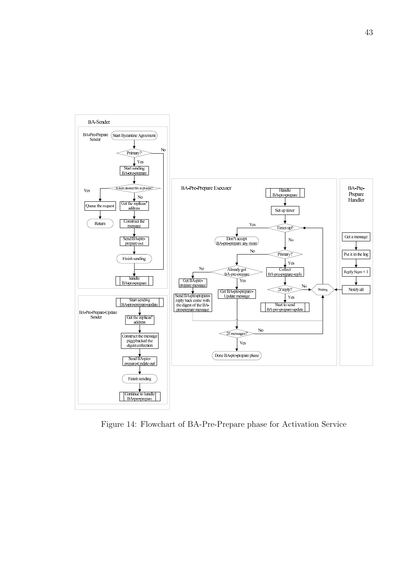

Figure 14: Flowchart of BA-Pre-Prepare phase for Activation Service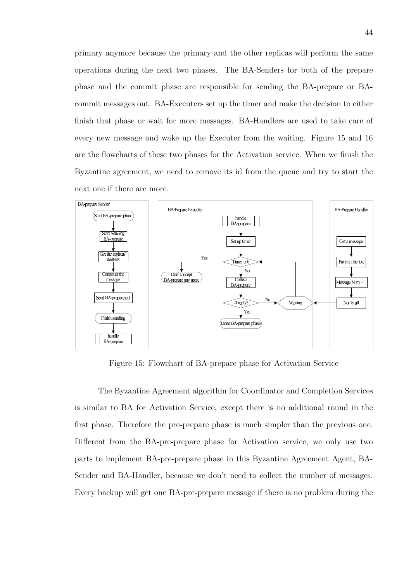primary anymore because the primary and the other replicas will perform the same operations during the next two phases. The BA-Senders for both of the prepare phase and the commit phase are responsible for sending the BA-prepare or BAcommit messages out. BA-Executers set up the timer and make the decision to either finish that phase or wait for more messages. BA-Handlers are used to take care of every new message and wake up the Executer from the waiting. Figure 15 and 16 are the flowcharts of these two phases for the Activation service. When we finish the Byzantine agreement, we need to remove its id from the queue and try to start the next one if there are more.



Figure 15: Flowchart of BA-prepare phase for Activation Service

The Byzantine Agreement algorithm for Coordinator and Completion Services is similar to BA for Activation Service, except there is no additional round in the first phase. Therefore the pre-prepare phase is much simpler than the previous one. Different from the BA-pre-prepare phase for Activation service, we only use two parts to implement BA-pre-prepare phase in this Byzantine Agreement Agent, BA-Sender and BA-Handler, because we don't need to collect the number of messages. Every backup will get one BA-pre-prepare message if there is no problem during the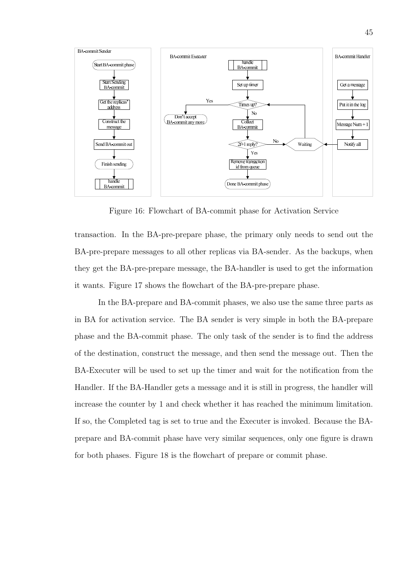

Figure 16: Flowchart of BA-commit phase for Activation Service

transaction. In the BA-pre-prepare phase, the primary only needs to send out the BA-pre-prepare messages to all other replicas via BA-sender. As the backups, when they get the BA-pre-prepare message, the BA-handler is used to get the information it wants. Figure 17 shows the flowchart of the BA-pre-prepare phase.

In the BA-prepare and BA-commit phases, we also use the same three parts as in BA for activation service. The BA sender is very simple in both the BA-prepare phase and the BA-commit phase. The only task of the sender is to find the address of the destination, construct the message, and then send the message out. Then the BA-Executer will be used to set up the timer and wait for the notification from the Handler. If the BA-Handler gets a message and it is still in progress, the handler will increase the counter by 1 and check whether it has reached the minimum limitation. If so, the Completed tag is set to true and the Executer is invoked. Because the BAprepare and BA-commit phase have very similar sequences, only one figure is drawn for both phases. Figure 18 is the flowchart of prepare or commit phase.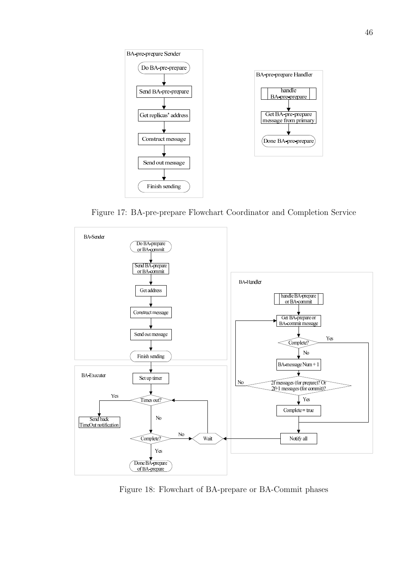

Figure 17: BA-pre-prepare Flowchart Coordinator and Completion Service



Figure 18: Flowchart of BA-prepare or BA-Commit phases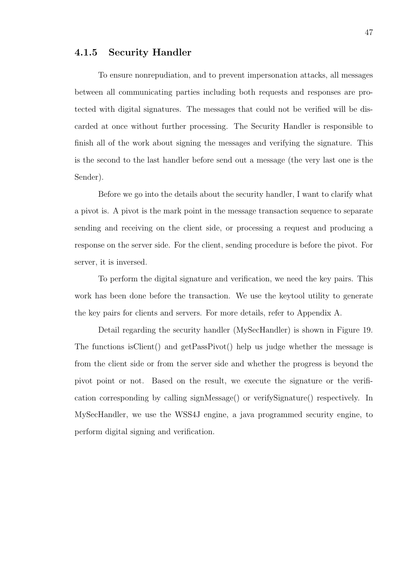#### 4.1.5 Security Handler

To ensure nonrepudiation, and to prevent impersonation attacks, all messages between all communicating parties including both requests and responses are protected with digital signatures. The messages that could not be verified will be discarded at once without further processing. The Security Handler is responsible to finish all of the work about signing the messages and verifying the signature. This is the second to the last handler before send out a message (the very last one is the Sender).

Before we go into the details about the security handler, I want to clarify what a pivot is. A pivot is the mark point in the message transaction sequence to separate sending and receiving on the client side, or processing a request and producing a response on the server side. For the client, sending procedure is before the pivot. For server, it is inversed.

To perform the digital signature and verification, we need the key pairs. This work has been done before the transaction. We use the keytool utility to generate the key pairs for clients and servers. For more details, refer to Appendix A.

Detail regarding the security handler (MySecHandler) is shown in Figure 19. The functions isClient() and getPassPivot() help us judge whether the message is from the client side or from the server side and whether the progress is beyond the pivot point or not. Based on the result, we execute the signature or the verification corresponding by calling signMessage() or verifySignature() respectively. In MySecHandler, we use the WSS4J engine, a java programmed security engine, to perform digital signing and verification.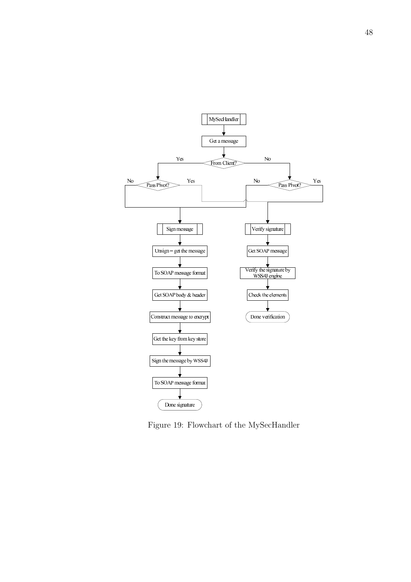

Figure 19: Flowchart of the MySecHandler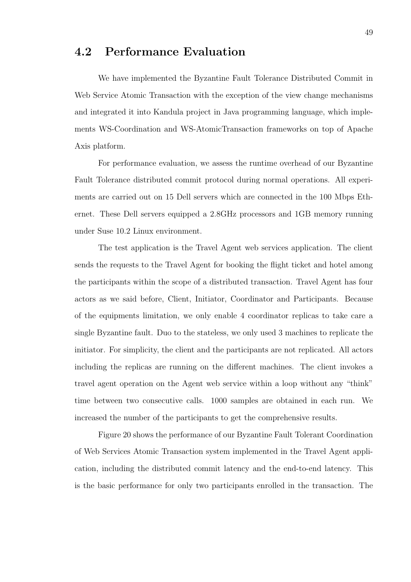### 4.2 Performance Evaluation

We have implemented the Byzantine Fault Tolerance Distributed Commit in Web Service Atomic Transaction with the exception of the view change mechanisms and integrated it into Kandula project in Java programming language, which implements WS-Coordination and WS-AtomicTransaction frameworks on top of Apache Axis platform.

For performance evaluation, we assess the runtime overhead of our Byzantine Fault Tolerance distributed commit protocol during normal operations. All experiments are carried out on 15 Dell servers which are connected in the 100 Mbps Ethernet. These Dell servers equipped a 2.8GHz processors and 1GB memory running under Suse 10.2 Linux environment.

The test application is the Travel Agent web services application. The client sends the requests to the Travel Agent for booking the flight ticket and hotel among the participants within the scope of a distributed transaction. Travel Agent has four actors as we said before, Client, Initiator, Coordinator and Participants. Because of the equipments limitation, we only enable 4 coordinator replicas to take care a single Byzantine fault. Duo to the stateless, we only used 3 machines to replicate the initiator. For simplicity, the client and the participants are not replicated. All actors including the replicas are running on the different machines. The client invokes a travel agent operation on the Agent web service within a loop without any "think" time between two consecutive calls. 1000 samples are obtained in each run. We increased the number of the participants to get the comprehensive results.

Figure 20 shows the performance of our Byzantine Fault Tolerant Coordination of Web Services Atomic Transaction system implemented in the Travel Agent application, including the distributed commit latency and the end-to-end latency. This is the basic performance for only two participants enrolled in the transaction. The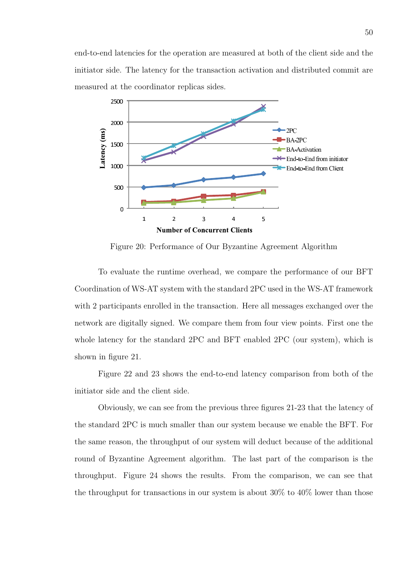end-to-end latencies for the operation are measured at both of the client side and the initiator side. The latency for the transaction activation and distributed commit are measured at the coordinator replicas sides.



Figure 20: Performance of Our Byzantine Agreement Algorithm

To evaluate the runtime overhead, we compare the performance of our BFT Coordination of WS-AT system with the standard 2PC used in the WS-AT framework with 2 participants enrolled in the transaction. Here all messages exchanged over the network are digitally signed. We compare them from four view points. First one the whole latency for the standard 2PC and BFT enabled 2PC (our system), which is shown in figure 21.

Figure 22 and 23 shows the end-to-end latency comparison from both of the initiator side and the client side.

Obviously, we can see from the previous three figures 21-23 that the latency of the standard 2PC is much smaller than our system because we enable the BFT. For the same reason, the throughput of our system will deduct because of the additional round of Byzantine Agreement algorithm. The last part of the comparison is the throughput. Figure 24 shows the results. From the comparison, we can see that the throughput for transactions in our system is about 30% to 40% lower than those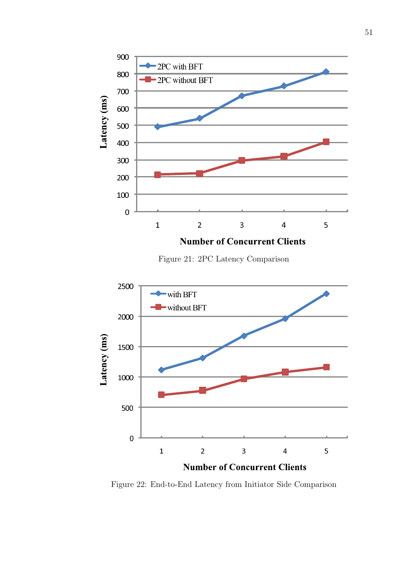

Figure 21: 2PC Latency Comparison



Figure 22: End-to-End Latency from Initiator Side Comparison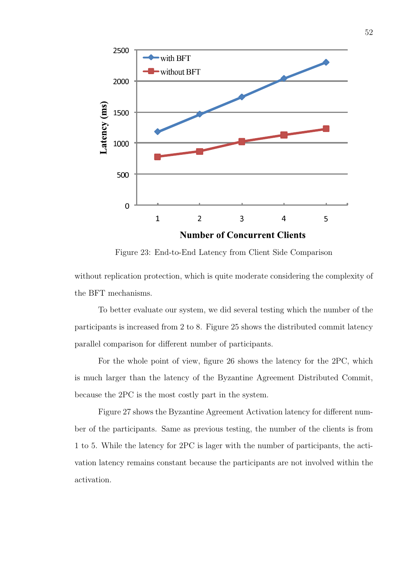

Figure 23: End-to-End Latency from Client Side Comparison

without replication protection, which is quite moderate considering the complexity of the BFT mechanisms.

To better evaluate our system, we did several testing which the number of the participants is increased from 2 to 8. Figure 25 shows the distributed commit latency parallel comparison for different number of participants.

For the whole point of view, figure 26 shows the latency for the 2PC, which is much larger than the latency of the Byzantine Agreement Distributed Commit, because the 2PC is the most costly part in the system.

Figure 27 shows the Byzantine Agreement Activation latency for different number of the participants. Same as previous testing, the number of the clients is from 1 to 5. While the latency for 2PC is lager with the number of participants, the activation latency remains constant because the participants are not involved within the activation.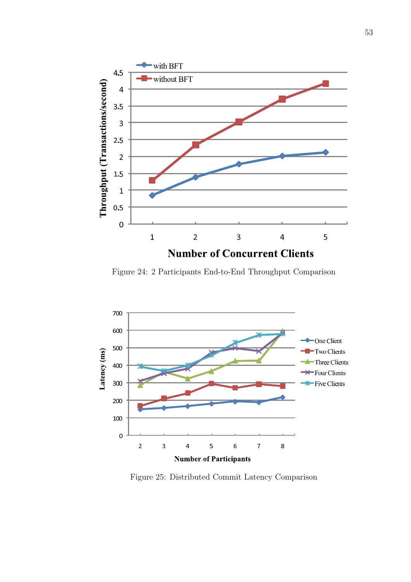

Figure 24: 2 Participants End-to-End Throughput Comparison



Figure 25: Distributed Commit Latency Comparison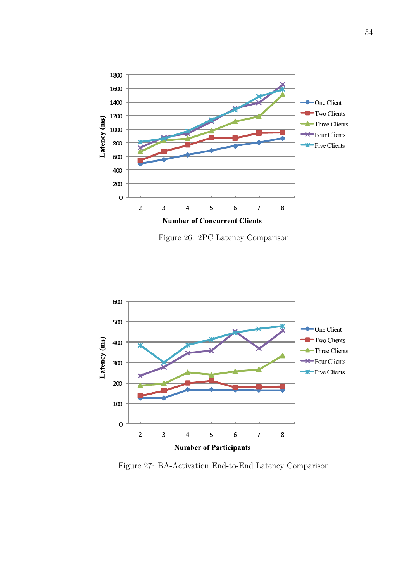

Figure 26: 2PC Latency Comparison



Figure 27: BA-Activation End-to-End Latency Comparison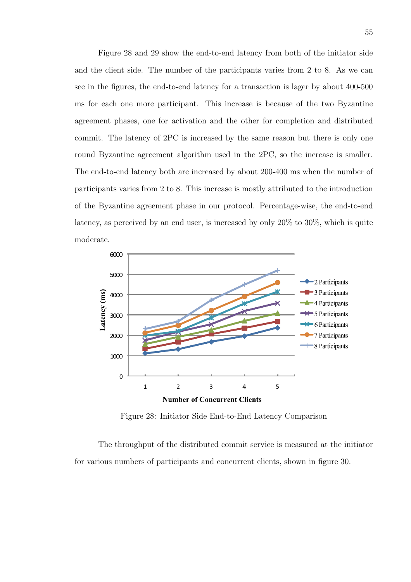Figure 28 and 29 show the end-to-end latency from both of the initiator side and the client side. The number of the participants varies from 2 to 8. As we can see in the figures, the end-to-end latency for a transaction is lager by about 400-500 ms for each one more participant. This increase is because of the two Byzantine agreement phases, one for activation and the other for completion and distributed commit. The latency of 2PC is increased by the same reason but there is only one round Byzantine agreement algorithm used in the 2PC, so the increase is smaller. The end-to-end latency both are increased by about 200-400 ms when the number of participants varies from 2 to 8. This increase is mostly attributed to the introduction of the Byzantine agreement phase in our protocol. Percentage-wise, the end-to-end latency, as perceived by an end user, is increased by only 20% to 30%, which is quite moderate.



Figure 28: Initiator Side End-to-End Latency Comparison

The throughput of the distributed commit service is measured at the initiator for various numbers of participants and concurrent clients, shown in figure 30.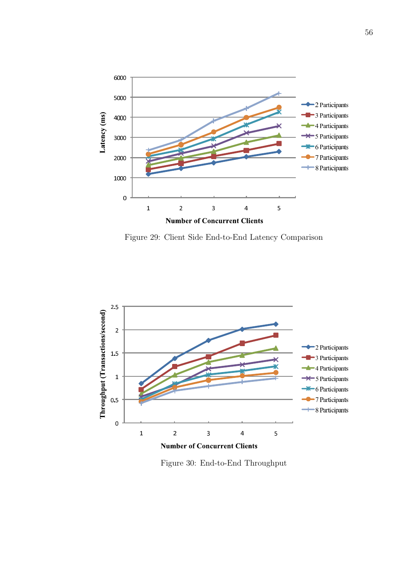

Figure 29: Client Side End-to-End Latency Comparison



Figure 30: End-to-End Throughput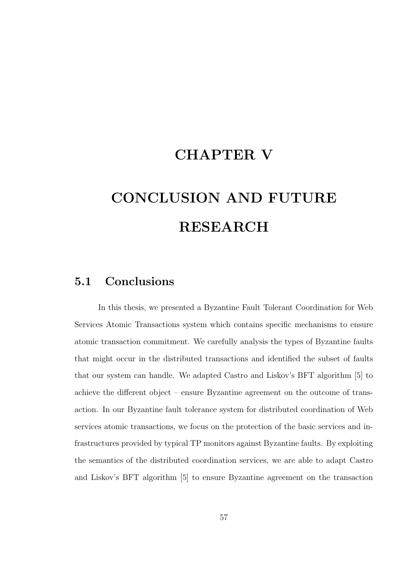## CHAPTER V

# CONCLUSION AND FUTURE RESEARCH

### 5.1 Conclusions

In this thesis, we presented a Byzantine Fault Tolerant Coordination for Web Services Atomic Transactions system which contains specific mechanisms to ensure atomic transaction commitment. We carefully analysis the types of Byzantine faults that might occur in the distributed transactions and identified the subset of faults that our system can handle. We adapted Castro and Liskov's BFT algorithm [5] to achieve the different object – ensure Byzantine agreement on the outcome of transaction. In our Byzantine fault tolerance system for distributed coordination of Web services atomic transactions, we focus on the protection of the basic services and infrastructures provided by typical TP monitors against Byzantine faults. By exploiting the semantics of the distributed coordination services, we are able to adapt Castro and Liskov's BFT algorithm [5] to ensure Byzantine agreement on the transaction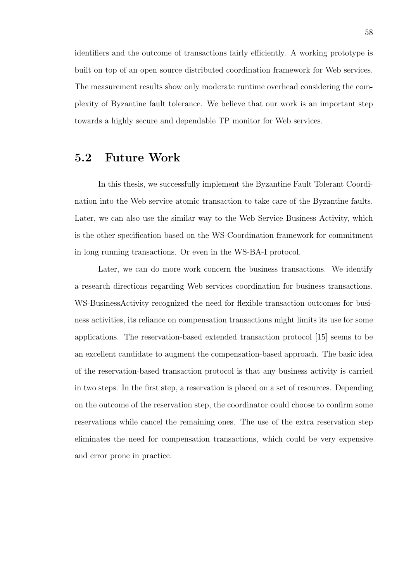identifiers and the outcome of transactions fairly efficiently. A working prototype is built on top of an open source distributed coordination framework for Web services. The measurement results show only moderate runtime overhead considering the complexity of Byzantine fault tolerance. We believe that our work is an important step towards a highly secure and dependable TP monitor for Web services.

### 5.2 Future Work

In this thesis, we successfully implement the Byzantine Fault Tolerant Coordination into the Web service atomic transaction to take care of the Byzantine faults. Later, we can also use the similar way to the Web Service Business Activity, which is the other specification based on the WS-Coordination framework for commitment in long running transactions. Or even in the WS-BA-I protocol.

Later, we can do more work concern the business transactions. We identify a research directions regarding Web services coordination for business transactions. WS-BusinessActivity recognized the need for flexible transaction outcomes for business activities, its reliance on compensation transactions might limits its use for some applications. The reservation-based extended transaction protocol [15] seems to be an excellent candidate to augment the compensation-based approach. The basic idea of the reservation-based transaction protocol is that any business activity is carried in two steps. In the first step, a reservation is placed on a set of resources. Depending on the outcome of the reservation step, the coordinator could choose to confirm some reservations while cancel the remaining ones. The use of the extra reservation step eliminates the need for compensation transactions, which could be very expensive and error prone in practice.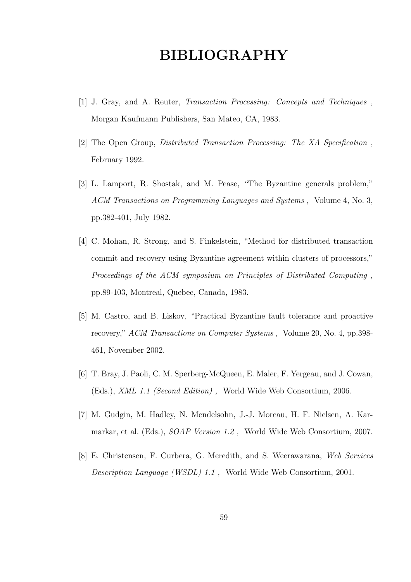## BIBLIOGRAPHY

- [1] J. Gray, and A. Reuter, Transaction Processing: Concepts and Techniques , Morgan Kaufmann Publishers, San Mateo, CA, 1983.
- [2] The Open Group, Distributed Transaction Processing: The XA Specification , February 1992.
- [3] L. Lamport, R. Shostak, and M. Pease, "The Byzantine generals problem," ACM Transactions on Programming Languages and Systems , Volume 4, No. 3, pp.382-401, July 1982.
- [4] C. Mohan, R. Strong, and S. Finkelstein, "Method for distributed transaction commit and recovery using Byzantine agreement within clusters of processors," Proceedings of the ACM symposium on Principles of Distributed Computing , pp.89-103, Montreal, Quebec, Canada, 1983.
- [5] M. Castro, and B. Liskov, "Practical Byzantine fault tolerance and proactive recovery," ACM Transactions on Computer Systems , Volume 20, No. 4, pp.398- 461, November 2002.
- [6] T. Bray, J. Paoli, C. M. Sperberg-McQueen, E. Maler, F. Yergeau, and J. Cowan, (Eds.), XML 1.1 (Second Edition) , World Wide Web Consortium, 2006.
- [7] M. Gudgin, M. Hadley, N. Mendelsohn, J.-J. Moreau, H. F. Nielsen, A. Karmarkar, et al. (Eds.), SOAP Version 1.2 , World Wide Web Consortium, 2007.
- [8] E. Christensen, F. Curbera, G. Meredith, and S. Weerawarana, Web Services Description Language (WSDL) 1.1 , World Wide Web Consortium, 2001.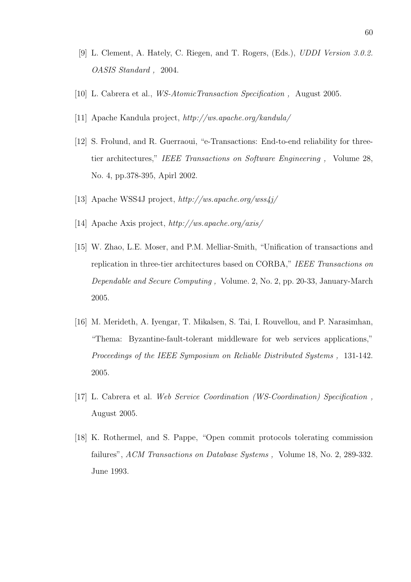- [9] L. Clement, A. Hately, C. Riegen, and T. Rogers, (Eds.), UDDI Version 3.0.2. OASIS Standard , 2004.
- [10] L. Cabrera et al., WS-AtomicTransaction Specification , August 2005.
- [11] Apache Kandula project, http://ws.apache.org/kandula/
- [12] S. Frolund, and R. Guerraoui, "e-Transactions: End-to-end reliability for threetier architectures," IEEE Transactions on Software Engineering , Volume 28, No. 4, pp.378-395, Apirl 2002.
- [13] Apache WSS4J project, http://ws.apache.org/wss4j/
- [14] Apache Axis project, http://ws.apache.org/axis/
- [15] W. Zhao, L.E. Moser, and P.M. Melliar-Smith, "Unification of transactions and replication in three-tier architectures based on CORBA," IEEE Transactions on Dependable and Secure Computing , Volume. 2, No. 2, pp. 20-33, January-March 2005.
- [16] M. Merideth, A. Iyengar, T. Mikalsen, S. Tai, I. Rouvellou, and P. Narasimhan, "Thema: Byzantine-fault-tolerant middleware for web services applications," Proceedings of the IEEE Symposium on Reliable Distributed Systems , 131-142. 2005.
- [17] L. Cabrera et al. Web Service Coordination (WS-Coordination) Specification , August 2005.
- [18] K. Rothermel, and S. Pappe, "Open commit protocols tolerating commission failures", ACM Transactions on Database Systems, Volume 18, No. 2, 289-332. June 1993.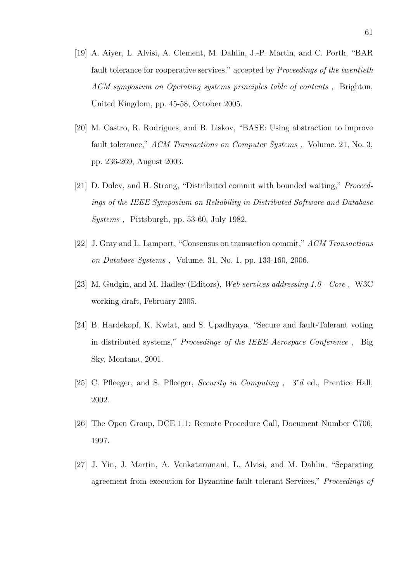- [19] A. Aiyer, L. Alvisi, A. Clement, M. Dahlin, J.-P. Martin, and C. Porth, "BAR fault tolerance for cooperative services," accepted by Proceedings of the twentieth ACM symposium on Operating systems principles table of contents , Brighton, United Kingdom, pp. 45-58, October 2005.
- [20] M. Castro, R. Rodrigues, and B. Liskov, "BASE: Using abstraction to improve fault tolerance," ACM Transactions on Computer Systems, Volume. 21, No. 3, pp. 236-269, August 2003.
- [21] D. Dolev, and H. Strong, "Distributed commit with bounded waiting," Proceedings of the IEEE Symposium on Reliability in Distributed Software and Database Systems , Pittsburgh, pp. 53-60, July 1982.
- [22] J. Gray and L. Lamport, "Consensus on transaction commit," ACM Transactions on Database Systems , Volume. 31, No. 1, pp. 133-160, 2006.
- [23] M. Gudgin, and M. Hadley (Editors), Web services addressing 1.0 Core , W3C working draft, February 2005.
- [24] B. Hardekopf, K. Kwiat, and S. Upadhyaya, "Secure and fault-Tolerant voting in distributed systems," Proceedings of the IEEE Aerospace Conference , Big Sky, Montana, 2001.
- [25] C. Pfleeger, and S. Pfleeger, Security in Computing,  $3^r d$  ed., Prentice Hall, 2002.
- [26] The Open Group, DCE 1.1: Remote Procedure Call, Document Number C706, 1997.
- [27] J. Yin, J. Martin, A. Venkataramani, L. Alvisi, and M. Dahlin, "Separating agreement from execution for Byzantine fault tolerant Services," Proceedings of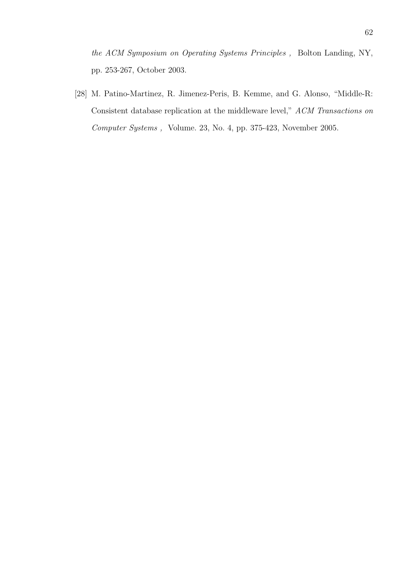the ACM Symposium on Operating Systems Principles , Bolton Landing, NY, pp. 253-267, October 2003.

[28] M. Patino-Martinez, R. Jimenez-Peris, B. Kemme, and G. Alonso, "Middle-R: Consistent database replication at the middleware level," ACM Transactions on Computer Systems , Volume. 23, No. 4, pp. 375-423, November 2005.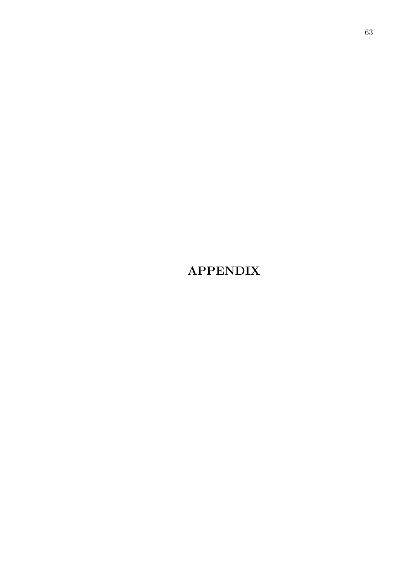## APPENDIX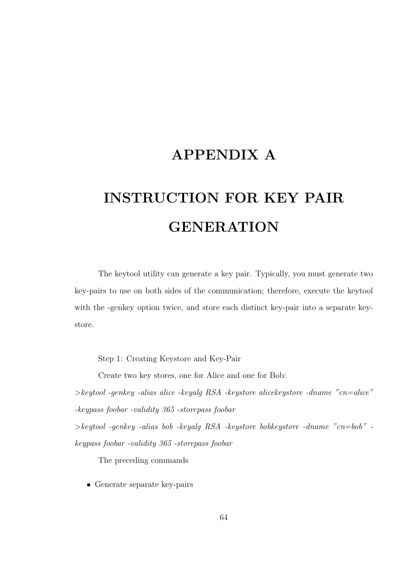### APPENDIX A

# INSTRUCTION FOR KEY PAIR **GENERATION**

The keytool utility can generate a key pair. Typically, you must generate two key-pairs to use on both sides of the communication; therefore, execute the keytool with the -genkey option twice, and store each distinct key-pair into a separate keystore.

Step 1: Creating Keystore and Key-Pair

Create two key stores, one for Alice and one for Bob:

 $\geq$ keytool -genkey -alias alice -keyalg RSA -keystore alicekeystore -dname "cn=alice" -keypass foobar -validity 365 -storepass foobar

 $\geq$ keytool -genkey -alias bob -keyalg RSA -keystore bobkeystore -dname "cn=bob" keypass foobar -validity 365 -storepass foobar

The preceding commands

• Generate separate key-pairs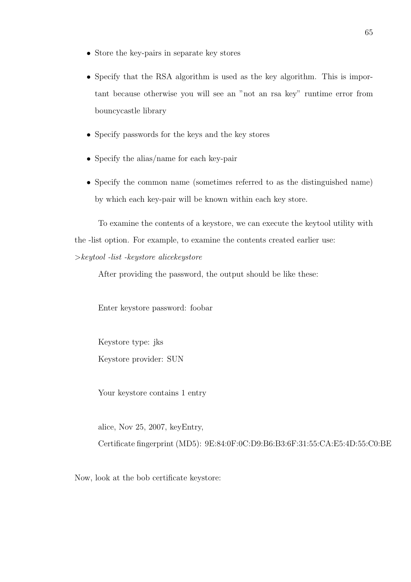- Store the key-pairs in separate key stores
- Specify that the RSA algorithm is used as the key algorithm. This is important because otherwise you will see an "not an rsa key" runtime error from bouncycastle library
- Specify passwords for the keys and the key stores
- Specify the alias/name for each key-pair
- Specify the common name (sometimes referred to as the distinguished name) by which each key-pair will be known within each key store.

To examine the contents of a keystore, we can execute the keytool utility with the -list option. For example, to examine the contents created earlier use:

>keytool -list -keystore alicekeystore

After providing the password, the output should be like these:

Enter keystore password: foobar

Keystore type: jks Keystore provider: SUN

Your keystore contains 1 entry

alice, Nov 25, 2007, keyEntry,

Certificate fingerprint (MD5): 9E:84:0F:0C:D9:B6:B3:6F:31:55:CA:E5:4D:55:C0:BE

Now, look at the bob certificate keystore: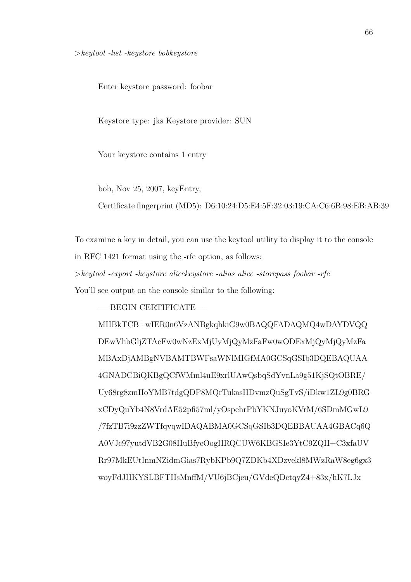Enter keystore password: foobar

Keystore type: jks Keystore provider: SUN

Your keystore contains 1 entry

bob, Nov 25, 2007, keyEntry,

Certificate fingerprint (MD5): D6:10:24:D5:E4:5F:32:03:19:CA:C6:6B:98:EB:AB:39

To examine a key in detail, you can use the keytool utility to display it to the console in RFC 1421 format using the -rfc option, as follows:

>keytool -export -keystore alicekeystore -alias alice -storepass foobar -rfc

You'll see output on the console similar to the following:

—–BEGIN CERTIFICATE—–

MIIBkTCB+wIER0n6VzANBgkqhkiG9w0BAQQFADAQMQ4wDAYDVQQ DEwVhbGljZTAeFw0wNzExMjUyMjQyMzFaFw0wODExMjQyMjQyMzFa MBAxDjAMBgNVBAMTBWFsaWNlMIGfMA0GCSqGSIb3DQEBAQUAA 4GNADCBiQKBgQCfWMml4uE9xrlUAwQsbqSdYvnLa9g51KjSQtOBRE/ Uy68rg8zmHoYMB7tdgQDP8MQrTukasHDvmzQuSgTvS/iDkw1ZL9g0BRG xCDyQuYb4N8VrdAE52pfi57ml/yOspehrPbYKNJuyoKVrM/6SDmMGwL9 /7fzTB7i9zzZWTfqvqwIDAQABMA0GCSqGSIb3DQEBBAUAA4GBACq6Q A0VJc97yutdVB2G08HuBfycOogHRQCUW6KBGSIe3YtC9ZQH+C3xfaUV Rr97MkEUtInmNZidmGias7RybKPb9Q7ZDKb4XDzvekl8MWzRaW8eg6gx3 woyFdJHKYSLBFTHsMnffM/VU6jBCjeu/GVdeQDctqyZ4+83x/hK7LJx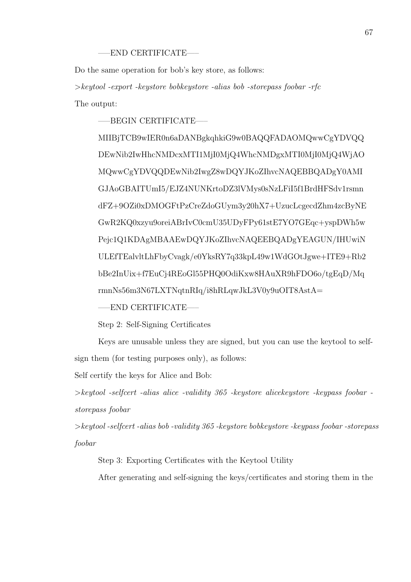#### —–END CERTIFICATE—–

Do the same operation for bob's key store, as follows:

>keytool -export -keystore bobkeystore -alias bob -storepass foobar -rfc The output:

—–BEGIN CERTIFICATE—–

MIIBjTCB9wIER0n6aDANBgkqhkiG9w0BAQQFADAOMQwwCgYDVQQ DEwNib2IwHhcNMDcxMTI1MjI0MjQ4WhcNMDgxMTI0MjI0MjQ4WjAO MQwwCgYDVQQDEwNib2IwgZ8wDQYJKoZIhvcNAQEBBQADgY0AMI GJAoGBAITUmI5/EJZ4NUNKrtoDZ3lVMys0sNzLFiI5f1BrdHFSdv1rsmn dFZ+9OZi0xDMOGFtPzCreZdoGUym3y20hX7+UzucLcgecdZhm4zcByNE GwR2KQ0xzyu9oreiABrIvC0cmU35UDyFPy61stE7YO7GEqc+yspDWh5w Pejc1Q1KDAgMBAAEwDQYJKoZIhvcNAQEEBQADgYEAGUN/IHUwiN ULEfTEalvltLhFbyCvagk/e0YksRY7q33kpL49w1WdGOtJgwe+ITE9+Rb2 bBe2InUix+f7EuCj4REoGl55PHQ0OdiKxw8HAuXR9hFDO6o/tgEqD/Mq rmnNs56m3N67LXTNqtnRIq/i8hRLqwJkL3V0y9uOIT8AstA=

—–END CERTIFICATE—–

Step 2: Self-Signing Certificates

Keys are unusable unless they are signed, but you can use the keytool to selfsign them (for testing purposes only), as follows:

Self certify the keys for Alice and Bob:

>keytool -selfcert -alias alice -validity 365 -keystore alicekeystore -keypass foobar storepass foobar

>keytool -selfcert -alias bob -validity 365 -keystore bobkeystore -keypass foobar -storepass foobar

Step 3: Exporting Certificates with the Keytool Utility

After generating and self-signing the keys/certificates and storing them in the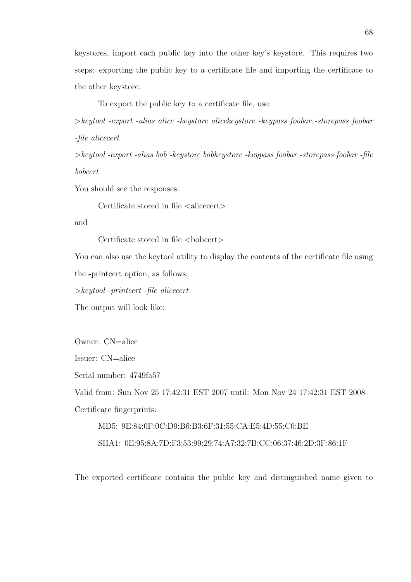keystores, import each public key into the other key's keystore. This requires two steps: exporting the public key to a certificate file and importing the certificate to the other keystore.

To export the public key to a certificate file, use:

>keytool -export -alias alice -keystore alicekeystore -keypass foobar -storepass foobar -file alicecert

>keytool -export -alias bob -keystore bobkeystore -keypass foobar -storepass foobar -file bobcert

You should see the responses:

Certificate stored in file  $\langle$  alicecert $\rangle$ 

and

Certificate stored in file  $\langle \text{bobcert}\rangle$ 

You can also use the keytool utility to display the contents of the certificate file using the -printcert option, as follows:

>keytool -printcert -file alicecert

The output will look like:

Owner: CN=alice

Issuer: CN=alice

Serial number: 4749fa57

Valid from: Sun Nov 25 17:42:31 EST 2007 until: Mon Nov 24 17:42:31 EST 2008 Certificate fingerprints:

MD5: 9E:84:0F:0C:D9:B6:B3:6F:31:55:CA:E5:4D:55:C0:BE

SHA1: 0E:95:8A:7D:F3:53:99:29:74:A7:32:7B:CC:06:37:46:2D:3F:86:1F

The exported certificate contains the public key and distinguished name given to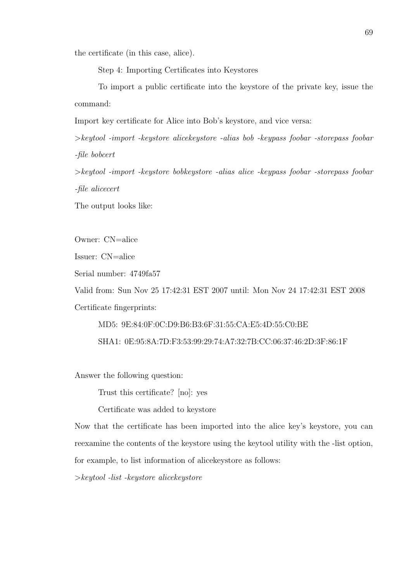the certificate (in this case, alice).

Step 4: Importing Certificates into Keystores

To import a public certificate into the keystore of the private key, issue the command:

Import key certificate for Alice into Bob's keystore, and vice versa:

>keytool -import -keystore alicekeystore -alias bob -keypass foobar -storepass foobar -file bobcert

>keytool -import -keystore bobkeystore -alias alice -keypass foobar -storepass foobar -file alicecert

The output looks like:

Owner: CN=alice

Issuer: CN=alice

Serial number: 4749fa57

Valid from: Sun Nov 25 17:42:31 EST 2007 until: Mon Nov 24 17:42:31 EST 2008 Certificate fingerprints:

MD5: 9E:84:0F:0C:D9:B6:B3:6F:31:55:CA:E5:4D:55:C0:BE SHA1: 0E:95:8A:7D:F3:53:99:29:74:A7:32:7B:CC:06:37:46:2D:3F:86:1F

Answer the following question:

Trust this certificate? [no]: yes

Certificate was added to keystore

Now that the certificate has been imported into the alice key's keystore, you can reexamine the contents of the keystore using the keytool utility with the -list option,

for example, to list information of alicekeystore as follows:

>keytool -list -keystore alicekeystore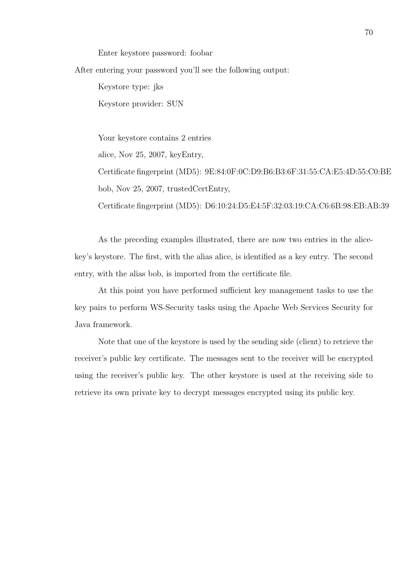Enter keystore password: foobar

After entering your password you'll see the following output:

Keystore type: jks Keystore provider: SUN

Your keystore contains 2 entries

alice, Nov 25, 2007, keyEntry,

Certificate fingerprint (MD5): 9E:84:0F:0C:D9:B6:B3:6F:31:55:CA:E5:4D:55:C0:BE bob, Nov 25, 2007, trustedCertEntry,

Certificate fingerprint (MD5): D6:10:24:D5:E4:5F:32:03:19:CA:C6:6B:98:EB:AB:39

As the preceding examples illustrated, there are now two entries in the alicekey's keystore. The first, with the alias alice, is identified as a key entry. The second entry, with the alias bob, is imported from the certificate file.

At this point you have performed sufficient key management tasks to use the key pairs to perform WS-Security tasks using the Apache Web Services Security for Java framework.

Note that one of the keystore is used by the sending side (client) to retrieve the receiver's public key certificate. The messages sent to the receiver will be encrypted using the receiver's public key. The other keystore is used at the receiving side to retrieve its own private key to decrypt messages encrypted using its public key.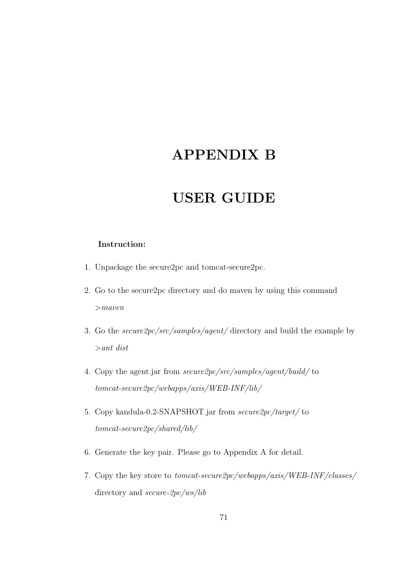## APPENDIX B

## USER GUIDE

#### Instruction:

- 1. Unpackage the secure2pc and tomcat-secure2pc.
- 2. Go to the secure2pc directory and do maven by using this command  $>$ maven
- 3. Go the secure2pc/src/samples/agent/ directory and build the example by >ant dist
- 4. Copy the agent.jar from secure2pc/src/samples/agent/build/ to tomcat-secure2pc/webapps/axis/WEB-INF/lib/
- 5. Copy kandula-0.2-SNAPSHOT.jar from secure2pc/target/ to tomcat-secure2pc/shared/lib/
- 6. Generate the key pair. Please go to Appendix A for detail.
- 7. Copy the key store to tomcat-secure2pc/webapps/axis/WEB-INF/classes/ directory and secure-2pc/ws/lib